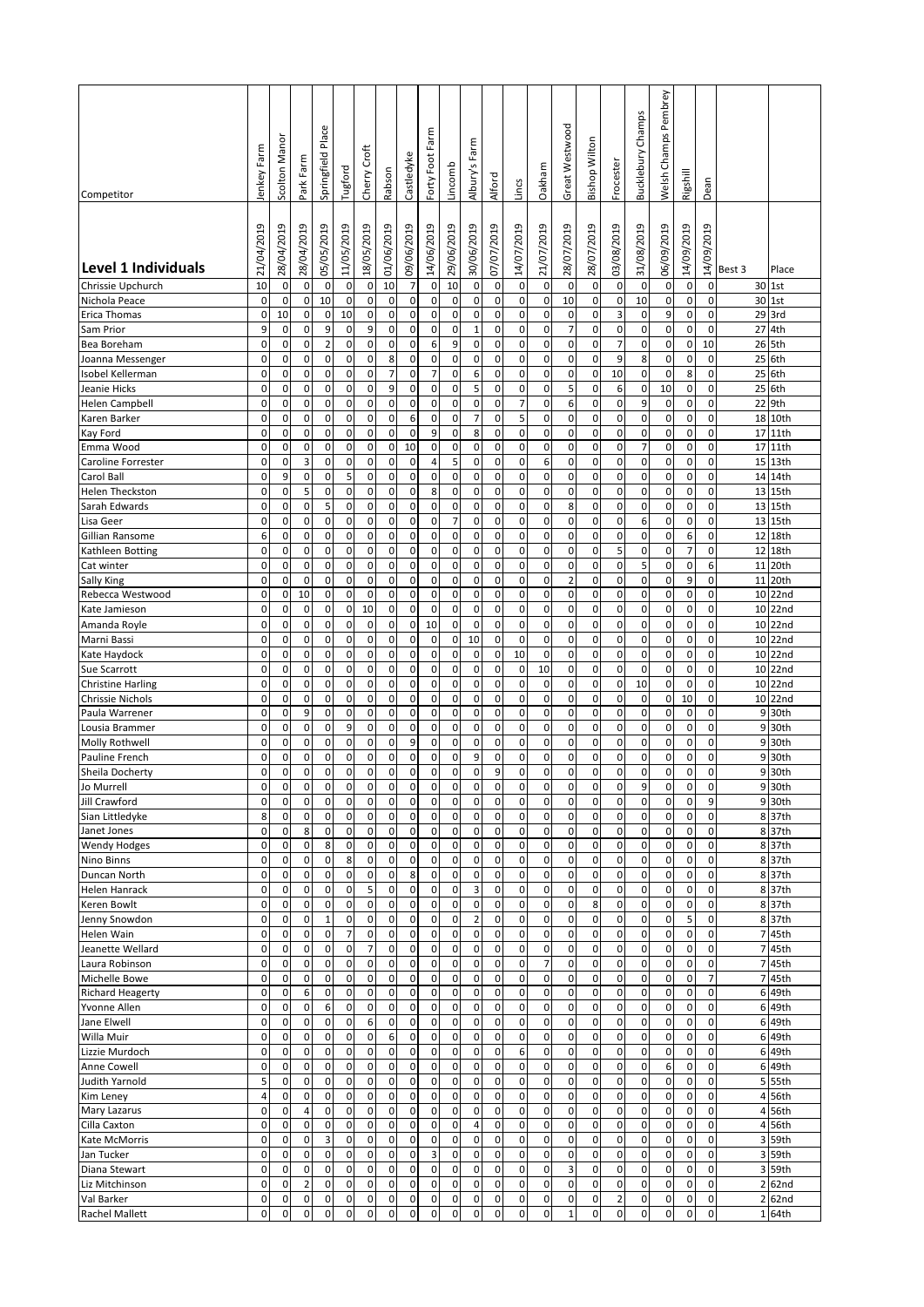|                                          |                            |                          |                     |                          |                            |                          |                            |                            |                               |                            |                   |                            |                  |                        |                     |                  |                     |                                  | Pembrey                    |                          |                     |                         |                  |
|------------------------------------------|----------------------------|--------------------------|---------------------|--------------------------|----------------------------|--------------------------|----------------------------|----------------------------|-------------------------------|----------------------------|-------------------|----------------------------|------------------|------------------------|---------------------|------------------|---------------------|----------------------------------|----------------------------|--------------------------|---------------------|-------------------------|------------------|
|                                          |                            |                          |                     | Place                    |                            |                          |                            |                            | Farm                          |                            | ξ                 |                            |                  |                        | Great Westwood      |                  |                     | <b>Bucklebury Champs</b>         | Champs                     |                          |                     |                         |                  |
|                                          | lenkey Farm                | Scolton Mano             | Ē                   | Springfield              | Tugford                    | Croft                    |                            | Castledyke                 | Forty Foot                    | Lincomb                    | 쿈<br>Albury's     |                            |                  | Oakham                 |                     | Bishop Wilton    | Frocester           |                                  |                            |                          |                     |                         |                  |
| Competitor                               |                            |                          | Park Far            |                          |                            | Cherry <sup>1</sup>      | Rabson                     |                            |                               |                            |                   | Alford                     | Lincs            |                        |                     |                  |                     |                                  | Welsh                      | Rigshill                 | Dean                |                         |                  |
|                                          |                            |                          |                     |                          |                            |                          |                            |                            |                               |                            |                   |                            |                  |                        |                     |                  |                     |                                  |                            |                          |                     |                         |                  |
|                                          | 21/04/2019                 | 28/04/2019               | 28/04/2019          | 05/05/2019               | 11/05/2019                 | 18/05/2019               | 01/06/2019                 | 09/06/2019                 | 14/06/2019                    | 29/06/2019                 | 30/06/2019        | 07/07/2019                 | 14/07/2019       | 21/07/2019             | 28/07/2019          | 28/07/2019       | 03/08/2019          | 31/08/2019                       | 06/09/2019                 | 14/09/2019               | 14/09/2019          |                         |                  |
| Level 1 Individuals<br>Chrissie Upchurch | 10                         | $\mathbf 0$              | 0                   | $\pmb{0}$                | $\mathbf 0$                | $\pmb{0}$                | 10                         | 7                          | 0                             | 10                         | 0                 | $\mathbf 0$                | 0                | $\mathbf 0$            | 0                   | 0                | $\mathbf 0$         | 0                                | 0                          | $\mathbf 0$              | $\mathsf 0$         | Best 3                  | Place<br>30 1st  |
| Nichola Peace                            | $\mathbf 0$                | $\mathbf 0$              | $\mathbf 0$         | 10                       | $\mathsf 0$                | $\pmb{0}$                | $\mathbf 0$                | $\mathbf 0$                | $\mathbf 0$                   | $\mathbf 0$                | $\pmb{0}$         | $\mathbf 0$                | 0                | $\pmb{0}$              | 10                  | 0                | $\mathbf 0$         | 10                               | $\pmb{0}$                  | $\mathbf 0$              | $\mathsf 0$         |                         | 30 1st           |
| Erica Thomas                             | 0<br>9                     | 10                       | 0                   | 0                        | 10                         | 0                        | 0                          | 0                          | $\mathbf{0}$<br>$\mathbf 0$   | 0                          | 0<br>$\mathbf{1}$ | $\mathbf 0$                | 0                | $\mathbf 0$            | 0<br>7              | 0<br>0           | 3                   | 0                                | 9                          | 0                        | 0                   | 27                      | 29 3rd           |
| Sam Prior<br>Bea Boreham                 | $\mathbf 0$                | 0<br>$\pmb{0}$           | 0<br>0              | 9<br>$\mathbf 2$         | $\mathbf 0$<br>$\mathbf 0$ | 9<br>$\mathbf 0$         | 0<br>0                     | 0<br>0                     | 6                             | 0<br>9                     | 0                 | $\mathbf 0$<br>$\mathbf 0$ | 0<br>$\pmb{0}$   | 0<br>$\mathbf 0$       | 0                   | $\mathbf 0$      | 0<br>$\overline{7}$ | $\mathsf 0$<br>$\pmb{0}$         | 0<br>$\mathbf 0$           | 0<br>$\mathbf 0$         | 0<br>10             | 26                      | 4th<br>5th       |
| Joanna Messenger                         | $\mathbf 0$                | $\pmb{0}$                | 0                   | $\pmb{0}$                | $\mathbf 0$                | 0                        | 8                          | $\mathbf 0$                | 0                             | $\mathbf 0$                | 0                 | $\mathbf 0$                | 0                | 0                      | 0                   | 0                | 9                   | 8                                | 0                          | $\mathbf 0$              | 0                   | 25                      | 6th              |
| Isobel Kellerman                         | $\mathbf 0$                | $\mathbf 0$              | $\mathbf 0$         | $\pmb{0}$                | $\pmb{0}$                  | 0                        | 7                          | 0                          | $\overline{7}$                | $\mathbf 0$                | 6                 | $\mathbf 0$                | 0                | $\pmb{0}$              | 0                   | 0                | 10                  | $\pmb{0}$                        | $\mathbf 0$                | 8                        | $\mathsf 0$         | 25                      | 6th              |
| Jeanie Hicks<br><b>Helen Campbell</b>    | $\mathbf 0$<br>$\mathbf 0$ | $\pmb{0}$<br>$\mathbf 0$ | 0<br>0              | 0<br>0                   | $\pmb{0}$<br>$\mathbf 0$   | 0<br>0                   | 9<br>0                     | 0<br>0                     | $\mathbf{0}$<br>$\mathbf 0$   | $\pmb{0}$<br>0             | 5<br>0            | $\mathbf 0$<br>0           | 0<br>7           | $\pmb{0}$<br>0         | 5<br>6              | 0<br>0           | 6<br>0              | $\mathsf{O}\xspace$<br>9         | 10<br>0                    | $\mathbf 0$<br>0         | 0<br>0              | 25<br>22                | 6th<br>9th       |
| Karen Barker                             | $\mathbf 0$                | $\pmb{0}$                | 0                   | $\mathbf 0$              | $\mathbf 0$                | $\pmb{0}$                | 0                          | 6                          | $\mathbf 0$                   | $\mathbf 0$                | $\overline{7}$    | $\mathbf 0$                | 5                | $\mathbf 0$            | 0                   | $\mathbf 0$      | 0                   | $\pmb{0}$                        | $\mathbf 0$                | 0                        | 0                   | 18                      | 10th             |
| Kay Ford                                 | $\mathbf 0$                | $\mathbf 0$              | 0                   | 0                        | 0                          | 0                        | 0                          | $\mathbf 0$                | 9                             | 0                          | 8                 | $\mathbf 0$                | 0                | 0                      | 0                   | 0                | 0                   | 0                                | 0                          | $\mathbf 0$              | 0                   | 17                      | 11th             |
| Emma Wood                                | $\mathbf 0$                | $\pmb{0}$                | 0                   | $\mathbf 0$              | $\mathbf 0$                | 0                        | 0                          | 10                         | $\mathbf 0$                   | $\mathbf 0$                | 0                 | $\mathbf 0$                | 0                | $\pmb{0}$              | 0                   | $\mathbf 0$      | $\mathbf 0$         | $\overline{7}$                   | $\mathbf 0$                | $\mathbf 0$              | 0                   | 17                      | 11th             |
| Caroline Forrester                       | $\mathbf 0$                | $\pmb{0}$                | 3                   | 0                        | 0                          | 0                        | 0                          | 0                          | 4                             | 5                          | 0                 | $\mathbf 0$                | 0                | 6                      | 0                   | 0                | 0                   | $\pmb{0}$                        | 0                          | 0                        | 0                   | 15                      | 13th             |
| Carol Ball<br><b>Helen Theckston</b>     | $\mathbf 0$<br>0           | 9<br>$\pmb{0}$           | 0<br>5              | 0<br>$\pmb{0}$           | 5<br>$\mathbf 0$           | 0<br>0                   | 0<br>0                     | 0<br>0                     | $\mathbf{0}$<br>8             | $\mathbf 0$<br>$\pmb{0}$   | 0<br>0            | $\mathbf 0$<br>$\mathbf 0$ | 0<br>0           | 0<br>$\pmb{0}$         | 0<br>0              | 0<br>$\mathbf 0$ | 0<br>0              | $\pmb{0}$<br>$\mathsf{O}\xspace$ | $\mathbf 0$<br>0           | $\mathbf 0$<br>0         | $\mathsf 0$<br>0    | 14<br>13                | 14th<br>15th     |
| Sarah Edwards                            | 0                          | 0                        | 0                   | 5                        | 0                          | 0                        | 0                          | 0                          | 0                             | $\pmb{0}$                  | 0                 | $\mathbf 0$                | 0                | $\pmb{0}$              | 8                   | $\pmb{0}$        | 0                   | $\pmb{0}$                        | 0                          | 0                        | 0                   | 13                      | 15th             |
| Lisa Geer                                | $\mathbf 0$                | 0                        | 0                   | $\mathbf 0$              | $\mathbf 0$                | $\mathbf 0$              | 0                          | $\mathbf 0$                | 0                             | $\overline{7}$             | 0                 | $\mathbf 0$                | $\mathbf 0$      | $\mathbf 0$            | 0                   | 0                | 0                   | 6                                | 0                          | $\mathbf 0$              | 0                   | 13                      | 15th             |
| Gillian Ransome                          | 6                          | 0                        | 0                   | $\pmb{0}$                | $\mathbf 0$                | 0                        | $\mathbf 0$                | $\mathbf 0$                | 0                             | $\mathbf 0$                | 0                 | $\mathbf 0$                | 0                | $\mathbf 0$            | 0                   | 0                | 0                   | 0                                | 0                          | 6                        | 0                   | 12                      | 18th             |
| Kathleen Botting                         | $\mathbf 0$                | $\pmb{0}$                | 0                   | 0                        | 0                          | 0                        | 0                          | 0                          | $\mathbf 0$                   | $\pmb{0}$                  | 0                 | $\pmb{0}$                  | 0                | $\pmb{0}$              | 0                   | 0                | 5                   | $\pmb{0}$                        | 0                          | $\overline{7}$           | $\mathbf 0$         | 12                      | 18th             |
| Cat winter<br><b>Sally King</b>          | $\mathbf 0$<br>$\mathbf 0$ | $\pmb{0}$<br>$\pmb{0}$   | 0<br>$\pmb{0}$      | 0<br>0                   | $\mathbf 0$<br>$\pmb{0}$   | $\mathbf 0$<br>$\pmb{0}$ | 0<br>0                     | $\mathbf 0$<br>0           | $\mathbf{0}$<br>$\mathbf{0}$  | $\mathbf 0$<br>$\pmb{0}$   | 0<br>0            | $\mathbf 0$<br>$\mathbf 0$ | 0<br>0           | 0<br>$\pmb{0}$         | 0<br>$\overline{2}$ | 0<br>$\pmb{0}$   | $\mathbf 0$<br>0    | 5<br>$\pmb{0}$                   | $\mathbf 0$<br>$\mathbf 0$ | $\mathbf 0$<br>9         | 6<br>0              | 11<br>11                | 20th<br>20th     |
| Rebecca Westwood                         | 0                          | $\pmb{0}$                | 10                  | $\pmb{0}$                | $\pmb{0}$                  | 0                        | 0                          | 0                          | $\mathbf 0$                   | $\mathbf 0$                | 0                 | $\mathbf 0$                | 0                | $\pmb{0}$              | 0                   | $\pmb{0}$        | 0                   | $\pmb{0}$                        | $\mathbf 0$                | 0                        | 0                   |                         | 10 22nd          |
| Kate Jamieson                            | $\mathbf 0$                | 0                        | 0                   | 0                        | 0                          | 10                       | 0                          | 0                          | $\mathbf 0$                   | 0                          | 0                 | $\mathbf 0$                | 0                | 0                      | 0                   | 0                | 0                   | $\pmb{0}$                        | 0                          | $\mathbf 0$              | 0                   | 10                      | 22nd             |
| Amanda Royle                             | $\mathbf 0$                | 0                        | $\pmb{0}$           | 0                        | $\pmb{0}$                  | 0                        | $\mathbf 0$                | $\mathbf 0$                | 10                            | $\pmb{0}$                  | 0                 | $\pmb{0}$                  | 0                | $\pmb{0}$              | 0                   | 0                | $\mathbf 0$         | $\pmb{0}$                        | 0                          | $\mathbf 0$              | $\mathsf 0$         |                         | 10 22nd          |
| Marni Bassi                              | 0                          | 0                        | 0                   | 0                        | 0                          | 0                        | 0                          | 0                          | $\mathbf 0$                   | $\mathbf 0$                | 10                | $\mathbf 0$                | $\pmb{0}$        | 0                      | 0                   | 0                | 0                   | $\pmb{0}$                        | 0                          | 0                        | 0                   |                         | 10 22nd          |
| Kate Haydock<br>Sue Scarrott             | $\mathbf 0$<br>0           | $\pmb{0}$<br>0           | 0<br>0              | 0<br>$\pmb{0}$           | $\mathbf 0$<br>$\mathbf 0$ | $\pmb{0}$<br>0           | $\mathbf 0$<br>0           | 0<br>0                     | $\mathbf{0}$<br>0             | $\pmb{0}$<br>0             | 0<br>0            | $\mathbf 0$<br>$\mathbf 0$ | 10<br>0          | 0<br>10                | 0<br>0              | 0<br>0           | $\mathbf 0$<br>0    | $\pmb{0}$<br>0                   | $\mathsf 0$<br>0           | $\mathbf 0$<br>0         | $\mathbf 0$<br>0    | 10                      | 10 22nd<br>22nd  |
| <b>Christine Harling</b>                 | 0                          | 0                        | 0                   | 0                        | 0                          | 0                        | 0                          | 0                          | $\mathbf{0}$                  | 0                          | 0                 | $\mathbf 0$                | 0                | 0                      | 0                   | 0                | 0                   | 10                               | 0                          | 0                        | 0                   | 10                      | 22nd             |
| Chrissie Nichols                         | $\mathbf 0$                | $\mathbf 0$              | 0                   | $\mathbf 0$              | $\mathbf 0$                | $\mathbf 0$              | $\mathbf 0$                | $\mathbf 0$                | $\mathbf 0$                   | $\mathbf 0$                | 0                 | $\mathbf 0$                | $\mathbf 0$      | $\mathbf 0$            | $\mathbf 0$         | $\mathbf 0$      | $\mathbf 0$         | $\pmb{0}$                        | $\pmb{0}$                  | 10                       | $\mathbf 0$         | 10                      | 22nd             |
| Paula Warrener                           | $\mathbf 0$                | 0                        | 9                   | 0                        | $\mathbf 0$                | 0                        | 0                          | 0                          | $\mathbf 0$                   | 0                          | 0                 | $\mathbf 0$                | 0                | 0                      | 0                   | 0                | 0                   | 0                                | 0                          | 0                        | 0                   | 9                       | 30th             |
| Lousia Brammer                           | $\mathbf 0$                | $\mathbf 0$              | 0                   | 0                        | 9                          | 0                        | 0                          | 0                          | $\mathbf 0$                   | $\mathbf 0$                | 0                 | $\mathbf 0$                | 0                | 0                      | 0                   | 0                | 0                   | $\mathsf 0$                      | $\mathbf 0$                | 0                        | $\mathbf 0$         | 9                       | 30th             |
| Molly Rothwell<br>Pauline French         | $\mathbf 0$<br>0           | $\pmb{0}$<br>0           | 0<br>0              | 0<br>0                   | $\pmb{0}$<br>0             | $\mathbf 0$<br>0         | 0<br>0                     | 9<br>0                     | $\mathbf{0}$<br>0             | $\mathbf 0$<br>0           | 0<br>9            | $\mathbf 0$<br>$\mathbf 0$ | 0<br>0           | $\pmb{0}$<br>0         | 0<br>0              | 0<br>0           | $\mathbf 0$<br>0    | $\mathsf{O}\xspace$<br>0         | $\mathbf 0$<br>0           | $\mathbf 0$<br>0         | 0<br>0              | 9<br>9                  | 30th<br>30th     |
| Sheila Docherty                          | 0                          | $\mathbf 0$              | 0                   | $\mathbf 0$              | 0                          | 0                        | $\mathbf 0$                | 0                          | $\Omega$                      | 0                          | $\overline{0}$    | 9                          | $\mathbf 0$      | $\mathbf 0$            | 0                   | 0                | O                   | $\mathbf 0$                      | $\mathbf 0$                | 0                        | 0                   | 9                       | 30th             |
| Jo Murrell                               | 0                          | 0                        | 0                   | 0                        | $\overline{0}$             | 0                        | 0                          | $\mathbf 0$                | 0                             | 0                          | 0                 | 0                          | 0                | 0                      | 0                   | 0                | 0                   | 9                                | 0                          | 0                        | $\overline{0}$      |                         | 9 30th           |
| Jill Crawford                            | $\mathbf 0$                | $\pmb{0}$                | 0                   | 0                        | $\pmb{0}$                  | 0                        | $\pmb{0}$                  | 0                          | $\mathbf 0$                   | $\mathbf 0$                | 0                 | $\mathbf 0$                | $\pmb{0}$        | $\pmb{0}$              | $\mathbf 0$         | $\pmb{0}$        | $\mathbf 0$         | $\pmb{0}$                        | $\mathbf 0$                | $\pmb{0}$                | 9                   |                         | 9 30th           |
| Sian Littledyke                          | 8<br>$\pmb{0}$             | 0                        | $\mathbf 0$         | 0                        | $\mathbf 0$                | 0                        | $\mathbf 0$                | 0                          | $\mathbf{0}$                  | $\pmb{0}$                  | $\mathbf 0$       | $\mathbf 0$                | $\mathbf 0$      | $\pmb{0}$              | 0                   | 0                | 0                   | $\mathsf{O}\xspace$              | $\mathbf 0$                | $\mathbf 0$              | 0                   |                         | 8 37th           |
| Janet Jones<br><b>Wendy Hodges</b>       | 0                          | $\pmb{0}$<br>0           | 8<br>0              | $\pmb{0}$<br>8           | $\mathbf 0$<br>0           | $\mathbf 0$<br>0         | $\mathbf 0$<br>0           | 0<br>0                     | $\mathbf{0}$<br>$\mathbf 0$   | $\pmb{0}$<br>$\pmb{0}$     | $\pmb{0}$<br>0    | $\mathbf 0$<br>$\mathbf 0$ | $\pmb{0}$<br>0   | $\pmb{0}$<br>$\pmb{0}$ | 0<br>0              | $\pmb{0}$<br>0   | 0<br>0              | $\mathbf 0$<br>$\pmb{0}$         | 0<br>0                     | $\mathbf 0$<br>0         | 0<br>0              |                         | 8 37th<br>8 37th |
| Nino Binns                               | $\mathbf 0$                | 0                        | 0                   | 0                        | 8                          | 0                        | 0                          | 0                          | $\mathbf 0$                   | $\mathbf 0$                | 0                 | $\mathbf 0$                | 0                | $\pmb{0}$              | $\mathbf 0$         | 0                | 0                   | $\pmb{0}$                        | $\pmb{0}$                  | $\mathbf 0$              | 0                   |                         | 8 37th           |
| Duncan North                             | $\mathbf 0$                | 0                        | 0                   | $\mathbf 0$              | $\pmb{0}$                  | $\pmb{0}$                | 0                          | 8                          | 0                             | $\mathbf 0$                | 0                 | $\mathbf 0$                | 0                | $\pmb{0}$              | 0                   | $\mathbf 0$      | 0                   | 0                                | 0                          | 0                        | 0                   |                         | 8 37th           |
| Helen Hanrack                            | $\mathbf 0$                | $\pmb{0}$                | 0                   | 0                        | $\pmb{0}$                  | 5                        | 0                          | 0                          | $\mathbf 0$                   | $\mathbf 0$                | 3                 | $\mathbf 0$                | 0                | 0                      | 0                   | 0                | 0                   | 0                                | 0                          | 0                        | 0                   |                         | 8 37th           |
| Keren Bowlt<br>Jenny Snowdon             | $\mathbf 0$<br>$\mathbf 0$ | 0<br>$\pmb{0}$           | 0<br>$\pmb{0}$      | $\pmb{0}$<br>$\mathbf 1$ | $\mathbf 0$<br>$\pmb{0}$   | 0<br>$\pmb{0}$           | $\mathbf 0$<br>$\mathbf 0$ | 0<br>$\mathbf 0$           | $\mathbf 0$<br>$\mathbf{0}$   | $\pmb{0}$<br>$\mathbf 0$   | 0<br>$\mathbf 2$  | $\mathbf 0$<br>$\pmb{0}$   | 0<br>0           | $\pmb{0}$<br>$\pmb{0}$ | 0<br>0              | 8<br>0           | 0<br>$\mathbf 0$    | $\pmb{0}$<br>$\pmb{0}$           | $\pmb{0}$<br>$\mathsf 0$   | 0<br>5                   | 0<br>0              |                         | 8 37th<br>8 37th |
| Helen Wain                               | 0                          | 0                        | 0                   | 0                        | $\overline{7}$             | 0                        | 0                          | 0                          | $\mathbf 0$                   | $\pmb{0}$                  | 0                 | $\pmb{0}$                  | 0                | 0                      | 0                   | 0                | 0                   | $\mathsf{O}\xspace$              | 0                          | 0                        | 0                   | 7                       | 45th             |
| Jeanette Wellard                         | $\mathbf 0$                | $\pmb{0}$                | $\mathsf{O}\xspace$ | $\pmb{0}$                | $\pmb{0}$                  | $\overline{7}$           | $\mathbf 0$                | $\mathbf 0$                | $\mathbf 0$                   | $\mathbf 0$                | 0                 | $\pmb{0}$                  | 0                | $\pmb{0}$              | $\mathbf 0$         | $\mathsf 0$      | 0                   | $\pmb{0}$                        | $\pmb{0}$                  | $\mathbf 0$              | 0                   | $\overline{7}$          | 45th             |
| Laura Robinson                           | $\mathbf 0$                | 0                        | 0                   | $\pmb{0}$                | $\mathbf 0$                | $\pmb{0}$                | $\mathbf 0$                | $\mathbf 0$                | $\mathbf{0}$                  | $\pmb{0}$                  | 0                 | $\mathbf 0$                | 0                | $\overline{7}$         | $\mathbf 0$         | 0                | $\mathbf 0$         | 0                                | 0                          | $\mathbf 0$              | 0                   | $\overline{7}$          | 45th             |
| Michelle Bowe                            | $\mathbf 0$<br>$\mathbf 0$ | $\pmb{0}$<br>$\pmb{0}$   | 0<br>6              | $\pmb{0}$<br>$\pmb{0}$   | $\pmb{0}$<br>$\mathbf 0$   | 0<br>0                   | $\mathbf 0$<br>0           | $\mathbf 0$<br>0           | $\pmb{0}$<br>$\mathbf 0$      | $\mathbf 0$<br>$\mathbf 0$ | 0<br>$\mathbf 0$  | $\mathbf 0$<br>$\pmb{0}$   | 0<br>$\mathbf 0$ | $\pmb{0}$<br>$\pmb{0}$ | 0<br>0              | $\pmb{0}$<br>0   | $\mathbf 0$<br>0    | $\pmb{0}$<br>$\pmb{0}$           | $\pmb{0}$<br>0             | $\pmb{0}$<br>$\mathbf 0$ | $\overline{7}$<br>0 | 7                       | 45th<br>6 49th   |
| <b>Richard Heagerty</b><br>Yvonne Allen  | $\mathbf 0$                | $\mathbf 0$              | 0                   | 6                        | $\mathbf 0$                | $\mathbf 0$              | $\mathbf 0$                | $\mathbf 0$                | $\mathbf 0$                   | $\mathbf 0$                | $\pmb{0}$         | $\mathbf 0$                | 0                | 0                      | 0                   | 0                | 0                   | $\pmb{0}$                        | 0                          | $\mathbf 0$              | $\mathbf 0$         |                         | 6 49th           |
| Jane Elwell                              | 0                          | $\pmb{0}$                | $\mathsf{O}\xspace$ | $\pmb{0}$                | $\pmb{0}$                  | 6                        | $\mathbf 0$                | 0                          | $\mathbf 0$                   | $\mathbf 0$                | $\mathbf 0$       | $\pmb{0}$                  | $\pmb{0}$        | $\mathbf 0$            | 0                   | 0                | $\pmb{0}$           | $\mathbf 0$                      | $\pmb{0}$                  | $\pmb{0}$                | 0                   |                         | 6 49th           |
| Willa Muir                               | $\mathbf 0$                | $\pmb{0}$                | 0                   | 0                        | 0                          | 0                        | 6                          | 0                          | $\mathbf 0$                   | $\mathbf 0$                | 0                 | $\mathbf 0$                | 0                | $\pmb{0}$              | 0                   | 0                | 0                   | $\pmb{0}$                        | $\pmb{0}$                  | 0                        | 0                   | 6                       | 49th             |
| Lizzie Murdoch                           | 0                          | 0                        | 0                   | $\pmb{0}$                | $\pmb{0}$                  | 0                        | 0                          | 0                          | $\mathbf{0}$                  | $\mathbf 0$                | 0                 | $\mathbf 0$                | 6                | $\pmb{0}$              | 0                   | 0                | 0                   | $\pmb{0}$                        | $\pmb{0}$                  | 0                        | 0                   | 6                       | 49th             |
| Anne Cowell<br>Judith Yarnold            | $\mathbf 0$<br>5           | $\pmb{0}$<br>0           | 0<br>$\pmb{0}$      | 0<br>0                   | $\pmb{0}$<br>$\mathbf 0$   | $\pmb{0}$<br>0           | 0<br>$\mathbf 0$           | $\mathbf 0$<br>$\mathbf 0$ | $\overline{0}$<br>$\mathbf 0$ | $\pmb{0}$<br>$\pmb{0}$     | 0<br>0            | $\pmb{0}$<br>$\mathbf 0$   | 0<br>0           | $\pmb{0}$<br>$\pmb{0}$ | 0<br>0              | 0<br>$\pmb{0}$   | $\mathbf 0$<br>0    | 0<br>0                           | 6<br>0                     | 0<br>$\mathbf 0$         | 0<br>$\mathbf 0$    |                         | 6 49th<br>5 55th |
| Kim Leney                                | 4                          | $\pmb{0}$                | 0                   | 0                        | $\mathbf 0$                | 0                        | 0                          | $\mathbf 0$                | $\mathbf 0$                   | $\pmb{0}$                  | $\mathbf 0$       | $\mathbf 0$                | $\mathbf 0$      | 0                      | 0                   | 0                | 0                   | $\pmb{0}$                        | 0                          | 0                        | $\mathbf 0$         |                         | 4 56th           |
| Mary Lazarus                             | $\mathbf 0$                | $\pmb{0}$                | 4                   | 0                        | $\mathbf 0$                | $\pmb{0}$                | $\mathbf 0$                | 0                          | $\mathbf 0$                   | $\pmb{0}$                  | $\pmb{0}$         | $\mathbf 0$                | $\mathbf 0$      | $\pmb{0}$              | 0                   | 0                | 0                   | $\pmb{0}$                        | $\mathsf 0$                | $\mathbf 0$              | $\mathbf 0$         |                         | 4 56th           |
| Cilla Caxton                             | 0                          | $\pmb{0}$                | 0                   | 0                        | $\pmb{0}$                  | 0                        | 0                          | 0                          | $\mathbf 0$                   | $\pmb{0}$                  | 4                 | $\mathbf 0$                | 0                | $\pmb{0}$              | 0                   | $\pmb{0}$        | 0                   | $\pmb{0}$                        | 0                          | 0                        | 0                   | 4                       | 56th             |
| Kate McMorris                            | 0                          | 0                        | 0                   | 3                        | 0                          | 0                        | 0                          | 0                          | $\mathbf 0$                   | $\pmb{0}$                  | 0                 | $\mathbf 0$                | 0                | $\pmb{0}$              | 0                   | 0                | 0                   | $\pmb{0}$                        | 0                          | $\mathbf 0$              | 0                   | $\overline{\mathbf{3}}$ | 59th             |
| Jan Tucker<br>Diana Stewart              | $\mathbf 0$<br>$\mathbf 0$ | $\pmb{0}$<br>0           | 0<br>0              | 0<br>0                   | $\pmb{0}$<br>0             | $\pmb{0}$<br>0           | $\mathbf 0$<br>0           | $\mathbf 0$<br>0           | 3<br>$\mathbf 0$              | $\mathbf 0$<br>$\pmb{0}$   | 0<br>0            | $\mathbf 0$<br>$\mathbf 0$ | 0<br>0           | $\mathbf 0$<br>0       | $\mathbf 0$<br>3    | $\mathbf 0$<br>0 | $\mathbf 0$<br>0    | $\pmb{0}$<br>$\pmb{0}$           | $\mathbf 0$<br>0           | $\mathbf 0$<br>0         | $\mathbf 0$<br>0    | $\overline{\mathbf{3}}$ | 59th<br>3 59th   |
| Liz Mitchinson                           | $\mathbf 0$                | 0                        | $\mathbf 2$         | 0                        | $\mathbf 0$                | 0                        | 0                          | 0                          | $\mathbf 0$                   | $\mathbf 0$                | 0                 | $\mathbf 0$                | 0                | 0                      | 0                   | 0                | 0                   | $\pmb{0}$                        | 0                          | 0                        | 0                   |                         | 2 62nd           |
| Val Barker                               | $\mathbf 0$                | $\pmb{0}$                | 0                   | 0                        | $\mathbf 0$                | $\pmb{0}$                | $\mathbf 0$                | $\mathbf 0$                | $\mathbf{0}$                  | $\pmb{0}$                  | $\mathbf 0$       | $\mathbf 0$                | $\mathbf 0$      | $\pmb{0}$              | 0                   | 0                | $\overline{2}$      | $\pmb{0}$                        | 0                          | 0                        | $\mathbf 0$         |                         | 2 62nd           |
| Rachel Mallett                           | 0                          | $\pmb{0}$                | 0                   | $\mathbf 0$              | $\pmb{0}$                  | $\pmb{0}$                | 0                          | $\mathbf 0$                | $\mathbf 0$                   | $\pmb{0}$                  | 0                 | $\pmb{0}$                  | 0                | $\mathbf 0$            | $\mathbf 1$         | 0                | $\mathbf 0$         | $\mathsf{O}\xspace$              | 0                          | 0                        | $\pmb{0}$           |                         | 1 64th           |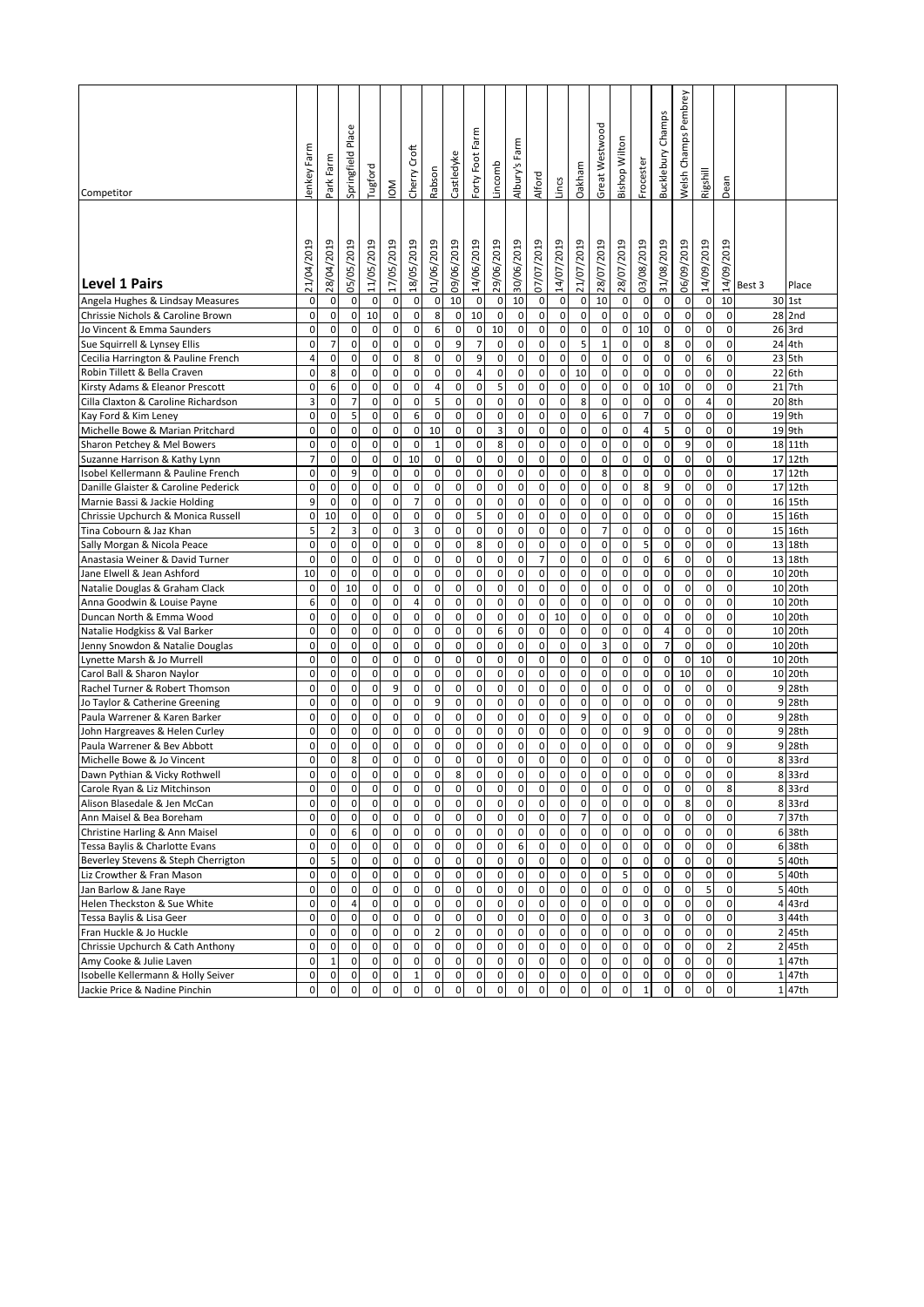|                                                                     |                     |                        |                   |                          |                          |                                    |                             |                  |                               |                   |                  |                  |                  |                     |                             |                                    |                     | Champs              | Pembrey                  |             |                             |          |                     |
|---------------------------------------------------------------------|---------------------|------------------------|-------------------|--------------------------|--------------------------|------------------------------------|-----------------------------|------------------|-------------------------------|-------------------|------------------|------------------|------------------|---------------------|-----------------------------|------------------------------------|---------------------|---------------------|--------------------------|-------------|-----------------------------|----------|---------------------|
|                                                                     | ε                   |                        | Place             |                          |                          |                                    |                             |                  | Forty Foot Farm               |                   |                  |                  |                  |                     | Great Westwood              |                                    |                     |                     | Welsh Champs             |             |                             |          |                     |
|                                                                     |                     | Farm                   | Springfield       |                          |                          | Croft                              |                             | Castledyke       |                               |                   | 's Farm          |                  |                  |                     |                             | <b>Bishop Wilton</b>               |                     | <b>Bucklebury</b>   |                          |             |                             |          |                     |
|                                                                     | lenkey Far          | Park                   |                   | Tugford                  | ŠΜ                       | Cherry                             | Rabson                      |                  |                               | Lincomb           | Albury's         | Alford           | Lincs            | Oakham              |                             |                                    | Frocester           |                     |                          | Rigshill    | Dean                        |          |                     |
| Competitor                                                          |                     |                        |                   |                          |                          |                                    |                             |                  |                               |                   |                  |                  |                  |                     |                             |                                    |                     |                     |                          |             |                             |          |                     |
|                                                                     |                     |                        |                   |                          |                          |                                    |                             |                  |                               |                   |                  |                  |                  |                     |                             |                                    |                     |                     |                          |             |                             |          |                     |
|                                                                     |                     |                        | Ō                 |                          |                          |                                    |                             |                  |                               |                   |                  |                  |                  |                     |                             |                                    |                     |                     |                          |             |                             |          |                     |
|                                                                     |                     |                        |                   |                          |                          |                                    |                             |                  |                               |                   |                  |                  |                  |                     |                             |                                    |                     |                     |                          |             |                             |          |                     |
|                                                                     | 21/04/2019          | 28/04/2019             | 05/05/201         | 11/05/2019               | 17/05/2019               | 18/05/2019                         | 01/06/2019                  | 09/06/2019       | 14/06/2019                    | 29/06/2019        | 30/06/2019       | 07/07/2019       | 14/07/2019       | 21/07/2019          | 28/07/2019                  | 28/07/2019                         | 03/08/2019          | 31/08/2019          | 06/09/2019               | 14/09/2019  | 14/09/2019                  |          |                     |
| <b>Level 1 Pairs</b>                                                |                     |                        |                   |                          |                          |                                    |                             |                  |                               |                   |                  |                  |                  |                     |                             |                                    |                     |                     |                          |             |                             | Best 3   | Place               |
| Angela Hughes & Lindsay Measures                                    | 0                   | 0                      | 0                 | $\mathbf 0$              | $\pmb{0}$                | $\mathsf{O}\xspace$                | $\pmb{0}$                   | 10               | $\pmb{0}$                     | $\pmb{0}$         | 10               | 0                | 0                | 0                   | 10                          | $\mathbf 0$                        | 0                   | 0                   | 0                        | 0           | 10                          |          | 30 1st              |
| Chrissie Nichols & Caroline Brown                                   | 0                   | 0                      | 0                 | 10                       | $\mathsf 0$              | $\mathbf 0$                        | $\bf 8$                     | 0                | 10                            | 0                 | 0                | 0                | 0                | 0                   | $\mathbf 0$                 | $\mathbf 0$                        | $\mathbf 0$         | 0                   | 0                        | 0           | 0<br>0                      |          | 28 2nd              |
| Jo Vincent & Emma Saunders<br>Sue Squirrell & Lynsey Ellis          | 0<br>0              | 0<br>$\overline{7}$    | 0<br>0            | $\pmb{0}$<br>$\pmb{0}$   | $\pmb{0}$<br>$\pmb{0}$   | $\mathsf{O}\xspace$<br>$\mathbf 0$ | 6<br>$\mathbf 0$            | $\mathbf 0$<br>9 | $\mathbf 0$<br>$\overline{7}$ | 10<br>$\mathbf 0$ | 0<br>$\mathbf 0$ | 0<br>0           | 0<br>0           | $\pmb{0}$<br>5      | $\mathbf 0$<br>$\mathbf{1}$ | $\mathbf 0$<br>$\mathbf{0}$        | 10<br>$\mathbf 0$   | 0<br>8              | $\pmb{0}$<br>0           | 0<br>0      | 0                           |          | 26 3rd<br>24 4th    |
| Cecilia Harrington & Pauline French                                 | 4                   | $\pmb{0}$              | 0                 | $\pmb{0}$                | $\pmb{0}$                | $\bf 8$                            | $\mathsf{O}\xspace$         | $\pmb{0}$        | 9                             | 0                 | 0                | $\mathbf 0$      | 0                | 0                   | $\mathbf 0$                 | $\mathbf{0}$                       | $\mathbf 0$         | 0                   | 0                        | 6           | 0                           |          | 23 5th              |
| Robin Tillett & Bella Craven                                        | 0                   | 8                      | 0                 | $\pmb{0}$                | 0                        | $\mathbf 0$                        | $\pmb{0}$                   | 0                | 4                             | 0                 | 0                | 0                | 0                | 10                  | 0                           | $\mathbf 0$                        | 0                   | 0                   | $\pmb{0}$                | 0           | 0                           |          | 22 6th              |
| Kirsty Adams & Eleanor Prescott                                     | 0                   | 6                      | $\pmb{0}$         | $\pmb{0}$                | $\pmb{0}$                | $\mathsf{O}\xspace$                | $\overline{4}$              | 0                | $\mathbf 0$                   | 5                 | 0                | 0                | 0                | 0                   | $\mathbf 0$                 | $\mathbf{0}$                       | 0                   | 10                  | $\pmb{0}$                | 0           | 0                           |          | 21 7th              |
| Cilla Claxton & Caroline Richardson                                 | 3                   | 0                      | $\overline{7}$    | $\pmb{0}$                | 0                        | $\mathsf{O}\xspace$                | 5                           | 0                | $\mathbf 0$                   | 0                 | 0                | 0                | 0                | 8                   | $\mathbf 0$                 | $\mathbf{0}$                       | $\pmb{0}$           | 0                   | $\pmb{0}$                | 4           | 0                           |          | 20 8th              |
| Kay Ford & Kim Leney                                                | 0                   | $\mathbf 0$            | 5                 | $\pmb{0}$                | $\pmb{0}$                | 6                                  | $\mathbf 0$                 | 0                | $\mathbf 0$                   | 0                 | 0                | 0                | 0                | $\mathbf 0$         | 6                           | 0                                  | $\overline{7}$      | $\pmb{0}$           | $\mathbf 0$              | 0           | 0                           |          | 19 9th              |
| Michelle Bowe & Marian Pritchard                                    | 0                   | 0                      | 0                 | 0                        | 0                        | $\mathbf 0$                        | 10                          | 0                | $\mathbf 0$                   | 3                 | 0                | 0                | 0                | 0                   | $\mathbf 0$                 | $\mathbf{0}$                       | $\sqrt{4}$          | 5                   | $\mathbf 0$              | 0           | 0                           |          | 19 9th              |
| Sharon Petchey & Mel Bowers                                         | 0                   | 0                      | $\pmb{0}$         | $\pmb{0}$                | $\mathbf 0$              | $\mathbf 0$                        | $\mathbf 1$                 | 0                | 0                             | 8                 | 0                | 0                | $\mathbf 0$      | $\mathbf 0$         | $\mathbf 0$                 | $\mathbf 0$                        | $\mathbf 0$         | 0                   | 9                        | 0           | 0                           |          | 18 11th             |
| Suzanne Harrison & Kathy Lynn<br>Isobel Kellermann & Pauline French | $\overline{7}$<br>0 | 0<br>$\pmb{0}$         | $\pmb{0}$<br>9    | $\mathsf 0$<br>$\pmb{0}$ | 0<br>$\pmb{0}$           | 10<br>0                            | $\pmb{0}$<br>$\pmb{0}$      | 0<br>0           | 0<br>$\mathbf 0$              | $\mathbf 0$<br>0  | 0<br>0           | $\mathbf 0$<br>0 | 0<br>0           | $\mathbf 0$<br>0    | $\mathbf 0$<br>8            | $\mathbf 0$<br>$\mathbf{0}$        | 0<br>$\mathbf 0$    | 0<br>0              | $\mathbf 0$<br>0         | 0<br>0      | 0<br>0                      | 17<br>17 | 12th<br>12th        |
| Danille Glaister & Caroline Pederick                                | 0                   | 0                      | 0                 | 0                        | 0                        | $\mathbf 0$                        | $\pmb{0}$                   | 0                | $\mathbf 0$                   | 0                 | 0                | 0                | 0                | 0                   | $\mathbf 0$                 | $\mathbf{0}$                       | 8                   | 9                   | $\pmb{0}$                | 0           | 0                           | 17       | 12th                |
| Marnie Bassi & Jackie Holding                                       | 9                   | $\pmb{0}$              | 0                 | $\pmb{0}$                | $\pmb{0}$                | $\overline{7}$                     | $\mathsf{O}\xspace$         | 0                | $\mathbf 0$                   | 0                 | 0                | 0                | 0                | 0                   | $\mathbf 0$                 | $\mathbf 0$                        | 0                   | 0                   | $\mathsf 0$              | 0           | 0                           |          | 16 15th             |
| Chrissie Upchurch & Monica Russell                                  | 0                   | 10                     | 0                 | $\pmb{0}$                | 0                        | $\pmb{0}$                          | $\mathsf{O}\xspace$         | 0                | 5                             | 0                 | 0                | 0                | 0                | 0                   | $\mathbf 0$                 | $\mathbf 0$                        | 0                   | 0                   | $\pmb{0}$                | 0           | 0                           |          | 15 16th             |
| Tina Cobourn & Jaz Khan                                             | 5                   | $\overline{c}$         | 3                 | $\pmb{0}$                | $\pmb{0}$                | 3                                  | $\mathsf{O}\xspace$         | 0                | $\mathbf 0$                   | $\mathbf 0$       | $\mathbf 0$      | $\mathbf 0$      | 0                | 0                   | $\overline{7}$              | $\mathbf{0}$                       | 0                   | 0                   | $\mathbf 0$              | $\mathbf 0$ | 0                           |          | 15 16th             |
| Sally Morgan & Nicola Peace                                         | 0                   | $\pmb{0}$              | 0                 | $\pmb{0}$                | 0                        | $\mathsf{O}\xspace$                | $\pmb{0}$                   | 0                | 8                             | 0                 | 0                | 0                | 0                | 0                   | $\mathbf 0$                 | $\mathbf 0$                        | 5                   | 0                   | $\pmb{0}$                | 0           | 0                           |          | 13 18th             |
| Anastasia Weiner & David Turner                                     | 0                   | $\pmb{0}$              | $\pmb{0}$         | $\pmb{0}$                | $\pmb{0}$                | $\pmb{0}$                          | $\pmb{0}$                   | $\pmb{0}$        | $\mathbf 0$                   | 0                 | 0                | $\overline{7}$   | 0                | 0                   | $\mathbf 0$                 | $\mathsf{O}\xspace$                | $\pmb{0}$           | 6                   | $\pmb{0}$                | 0           | 0                           |          | 13 18th             |
| Jane Elwell & Jean Ashford<br>Natalie Douglas & Graham Clack        | 10<br>0             | 0<br>0                 | $\mathbf 0$<br>10 | $\pmb{0}$<br>$\pmb{0}$   | $\pmb{0}$<br>0           | $\mathsf{O}\xspace$<br>$\pmb{0}$   | $\pmb{0}$<br>0              | 0<br>0           | $\mathbf 0$<br>$\mathbf 0$    | 0<br>0            | 0<br>0           | 0<br>0           | $\mathbf 0$<br>0 | 0<br>0              | $\mathbf 0$<br>$\mathbf 0$  | $\mathbf{0}$<br>$\mathbf 0$        | $\pmb{0}$<br>0      | $\pmb{0}$<br>0      | $\mathbf 0$<br>0         | 0<br>0      | 0<br>0                      | 10       | 10 20th<br>20th     |
| Anna Goodwin & Louise Payne                                         | 6                   | 0                      | $\mathsf 0$       | $\pmb{0}$                | $\pmb{0}$                | 4                                  | $\pmb{0}$                   | 0                | 0                             | 0                 | 0                | $\mathbf 0$      | 0                | 0                   | $\mathbf 0$                 | $\mathbf{0}$                       | $\mathbf 0$         | 0                   | $\mathbf 0$              | 0           | 0                           |          | 10 20th             |
| Duncan North & Emma Wood                                            | 0                   | 0                      | 0                 | $\mathsf 0$              | $\mathbf 0$              | 0                                  | 0                           | 0                | 0                             | $\mathbf 0$       | 0                | 0                | 10               | $\mathbf 0$         | $\mathbf 0$                 | 0                                  | $\mathbf 0$         | 0                   | 0                        | 0           | 0                           | 10       | 20th                |
| Natalie Hodgkiss & Val Barker                                       | 0                   | 0                      | $\pmb{0}$         | $\pmb{0}$                | $\mathbf 0$              | 0                                  | 0                           | 0                | 0                             | 6                 | 0                | 0                | $\mathbf 0$      | $\mathbf 0$         | $\mathbf 0$                 | 0                                  | 0                   | 4                   | 0                        | 0           | 0                           |          | 10 20th             |
| Jenny Snowdon & Natalie Douglas                                     | 0                   | 0                      | 0                 | $\mathsf 0$              | 0                        | $\pmb{0}$                          | $\pmb{0}$                   | 0                | 0                             | $\mathbf 0$       | 0                | $\mathbf 0$      | $\mathbf 0$      | $\mathbf 0$         | 3                           | 0                                  | 0                   | $\overline{7}$      | $\mathbf 0$              | 0           | 0                           | 10       | 20th                |
| Lynette Marsh & Jo Murrell                                          | 0                   | $\pmb{0}$              | $\pmb{0}$         | $\pmb{0}$                | $\mathsf 0$              | $\mathbf 0$                        | $\mathsf{O}\xspace$         | 0                | $\mathbf 0$                   | 0                 | 0                | 0                | 0                | 0                   | $\mathbf 0$                 | $\mathbf 0$                        | 0                   | 0                   | $\mathsf 0$              | 10          | 0                           | 10       | 20th                |
| Carol Ball & Sharon Naylor                                          | 0                   | 0                      | 0                 | 0                        | 0                        | $\mathbf 0$                        | 0                           | $\mathbf 0$      | $\mathbf 0$                   | 0                 | 0                | 0                | 0                | 0                   | $\mathbf 0$                 | $\mathbf 0$                        | 0                   | 0                   | 10                       | 0           | 0                           |          | 10 20th             |
| Rachel Turner & Robert Thomson                                      | 0<br>0              | $\pmb{0}$<br>$\pmb{0}$ | 0<br>0            | $\pmb{0}$<br>$\pmb{0}$   | 9<br>$\pmb{0}$           | $\mathbf 0$<br>$\mathsf{O}\xspace$ | $\mathbf 0$<br>9            | $\mathbf 0$<br>0 | $\mathbf 0$<br>$\mathbf 0$    | 0<br>0            | 0<br>$\mathbf 0$ | 0<br>$\mathbf 0$ | 0<br>0           | 0<br>0              | $\mathbf 0$<br>$\mathbf 0$  | $\mathbf 0$<br>$\mathbf{0}$        | 0<br>$\pmb{0}$      | 0<br>0              | 0<br>0                   | 0<br>0      | 0<br>0                      | 9<br>9   | 28th<br>28th        |
| Jo Taylor & Catherine Greening<br>Paula Warrener & Karen Barker     | 0                   | 0                      | 0                 | 0                        | 0                        | $\mathbf 0$                        | 0                           | 0                | $\mathbf 0$                   | $\mathbf 0$       | 0                | $\mathbf 0$      | 0                | 9                   | $\mathbf 0$                 | $\mathbf{0}$                       | 0                   | 0                   | 0                        | 0           | 0                           |          | 9 28th              |
| John Hargreaves & Helen Curley                                      | 0                   | $\pmb{0}$              | 0                 | $\pmb{0}$                | 0                        | $\mathsf{O}\xspace$                | $\pmb{0}$                   | 0                | $\mathbf 0$                   | 0                 | 0                | 0                | 0                | 0                   | $\mathbf 0$                 | $\mathbf{0}$                       | 9                   | 0                   | $\pmb{0}$                | 0           | 0                           | 9        | 28th                |
| Paula Warrener & Bev Abbott                                         | 0                   | 0                      | $\pmb{0}$         | $\pmb{0}$                | $\pmb{0}$                | $\mathsf{O}\xspace$                | $\pmb{0}$                   | 0                | $\mathbf 0$                   | 0                 | 0                | 0                | 0                | 0                   | $\mathbf 0$                 | $\mathbf 0$                        | 0                   | 0                   | 0                        | 0           | 9                           | 9        | 28th                |
| Michelle Bowe & Jo Vincent                                          | 0                   | 0                      | 8                 | $\pmb{0}$                | $\mathbf 0$              | 0                                  | 0                           | 0                | 0                             | 0                 | 0                | 0                | 0                | 0                   | $\mathbf 0$                 | 0                                  | 0                   | 0                   | 0                        | 0           | 0                           | 8        | 33rd                |
| Dawn Pythian & Vicky Rothwell                                       | $\mathbf 0$         | $\pmb{0}$              | 0                 | $\pmb{0}$                | $\mathbf 0$              | $\overline{0}$                     | $\overline{0}$              | 8                | 0                             | $\overline{0}$    | 0                | $\mathbf 0$      | 0                | $\mathbf 0$         | $\mathbf 0$                 | $\mathbf 0$                        | 0                   | 0                   | $\mathbf 0$              | 0           | 0                           |          | 8 33rd              |
| Carole Ryan & Liz Mitchinson                                        | 0                   | 0                      | 0                 | $\mathbf 0$              | $\mathbf 0$              | $\mathbf 0$                        | $\mathbf 0$                 | 0                | 0                             | 0                 | 0                | 0                | 0                | 0                   | 0                           | $\mathbf 0$                        | 0                   | 0                   | 0                        | 0           | 8                           |          | 8 33rd              |
| Alison Blasedale & Jen McCan                                        | 0<br>0              | 0<br>$\pmb{0}$         | 0<br>0            | 0<br>$\pmb{0}$           | 0                        | 0<br>$\mathsf{O}\xspace$           | 0                           | 0                | 0                             | 0                 | 0                | 0                | 0                | 0<br>$\overline{7}$ | $\mathbf 0$                 | $\mathbf 0$<br>$\mathsf{O}\xspace$ | 0                   | 0                   | 8<br>$\mathbf 0$         | 0<br>0      | $\mathbf 0$<br>$\mathsf{o}$ |          | 833rd               |
| Ann Maisel & Bea Boreham<br>Christine Harling & Ann Maisel          | 0                   | $\pmb{0}$              | 6                 | $\mathbf 0$              | $\pmb{0}$<br>$\mathbf 0$ | $\mathsf{O}\xspace$                | $\pmb{0}$<br>$\pmb{0}$      | 0<br>$\pmb{0}$   | 0<br>0                        | 0<br>$\mathbf 0$  | 0<br>$\mathbf 0$ | 0<br>$\mathbf 0$ | 0<br>$\pmb{0}$   | $\pmb{0}$           | $\mathbf 0$<br>$\pmb{0}$    | $\mathbf 0$                        | 0<br>$\pmb{0}$      | 0<br>0              | $\pmb{0}$                | 0           | $\mathsf{o}$                |          | 7 37th<br>6 38th    |
| Tessa Baylis & Charlotte Evans                                      | 0                   | $\pmb{0}$              | $\pmb{0}$         | $\mathbf 0$              | $\mathbf 0$              | $\mathbf 0$                        | $\pmb{0}$                   | $\pmb{0}$        | $\pmb{0}$                     | $\pmb{0}$         | 6                | $\pmb{0}$        | $\pmb{0}$        | $\mathbf 0$         | $\mathbf 0$                 | $\mathsf{O}\xspace$                | 0                   | 0                   | $\pmb{0}$                | 0           | $\mathsf{o}$                |          | 6 38th              |
| Beverley Stevens & Steph Cherrigton                                 | 0                   | 5                      | 0                 | $\mathbf 0$              | $\pmb{0}$                | $\mathsf{O}\xspace$                | $\pmb{0}$                   | $\pmb{0}$        | 0                             | 0                 | $\mathbf 0$      | $\mathbf 0$      | $\pmb{0}$        | $\pmb{0}$           | $\mathbf 0$                 | $\mathbf 0$                        | $\pmb{0}$           | 0                   | $\pmb{0}$                | 0           | $\mathbf 0$                 |          | 5 40th              |
| Liz Crowther & Fran Mason                                           | 0                   | $\pmb{0}$              | $\pmb{0}$         | $\mathbf 0$              | $\pmb{0}$                | $\pmb{0}$                          | $\pmb{0}$                   | 0                | $\pmb{0}$                     | 0                 | $\pmb{0}$        | $\pmb{0}$        | 0                | $\mathbf 0$         | 0                           | 5 <sup>1</sup>                     | 0                   | 0                   | 0                        | 0           | $\mathbf 0$                 |          | 5 40th              |
| Jan Barlow & Jane Raye                                              | 0                   | $\pmb{0}$              | 0                 | $\pmb{0}$                | $\pmb{0}$                | $\mathsf{O}\xspace$                | $\mathsf{O}\xspace$         | $\pmb{0}$        | 0                             | $\mathbf 0$       | 0                | $\mathbf 0$      | $\pmb{0}$        | $\mathbf 0$         | $\pmb{0}$                   | $\mathbf{0}$                       | $\mathsf{O}\xspace$ | $\mathsf{O}\xspace$ | 0                        | 5           | $\mathsf{o}$                |          | 5 40th              |
| Helen Theckston & Sue White                                         | 0                   | 0                      | 4                 | $\pmb{0}$                | 0                        | $\pmb{0}$                          | $\mathsf{O}\xspace$         | 0                | 0                             | 0                 | 0                | 0                | 0                | 0                   | 0                           | $\mathbf 0$                        | 0                   | 0                   | 0                        | 0           | $\mathbf 0$                 |          | 4 43rd              |
| Tessa Baylis & Lisa Geer                                            | 0                   | $\pmb{0}$              | 0                 | $\pmb{0}$                | $\pmb{0}$                | $\mathsf{o}$                       | $\pmb{0}$                   | 0                | 0                             | 0                 | 0                | 0                | 0                | 0                   | $\mathbf 0$                 | $\mathbf 0$                        | 3                   | 0                   | $\pmb{0}$                | 0           | $\mathbf 0$                 |          | 3 44th              |
| Fran Huckle & Jo Huckle<br>Chrissie Upchurch & Cath Anthony         | 0<br>0              | 0<br>$\pmb{0}$         | $\pmb{0}$<br>0    | $\pmb{0}$<br>$\pmb{0}$   | $\pmb{0}$<br>$\pmb{0}$   | $\pmb{0}$<br>$\mathsf{O}\xspace$   | $\overline{2}$<br>$\pmb{0}$ | 0<br>0           | 0<br>0                        | $\pmb{0}$<br>0    | $\pmb{0}$<br>0   | 0<br>0           | 0<br>0           | 0<br>0              | $\mathbf 0$<br>$\mathbf 0$  | $\mathbf 0$<br>$\mathbf{0}$        | 0<br>0              | 0<br>$\pmb{0}$      | $\pmb{0}$<br>$\mathbf 0$ | 0<br>0      | 0<br>$\overline{2}$         |          | 2 45th<br>2 45th    |
| Amy Cooke & Julie Laven                                             | 0                   | $\mathbf 1$            | 0                 | $\pmb{0}$                | 0                        | $\pmb{0}$                          | $\pmb{0}$                   | 0                | $\mathbf 0$                   | 0                 | $\mathbf 0$      | 0                | 0                | $\mathbf 0$         | $\mathbf 0$                 | $\overline{0}$                     | 0                   | 0                   | $\pmb{0}$                | 0           | $\mathbf 0$                 |          | 1 47th              |
| Isobelle Kellermann & Holly Seiver                                  | 0                   | $\pmb{0}$              | 0                 | $\pmb{0}$                | $\pmb{0}$                | $\mathbf 1$                        | $\pmb{0}$                   | 0                | 0                             | 0                 | 0                | 0                | 0                | $\mathbf 0$         | $\mathbf 0$                 | $\mathbf 0$                        | 0                   | 0                   | $\pmb{0}$                | 0           | $\mathsf{o}$                |          | 147th               |
| Jackie Price & Nadine Pinchin                                       | $\mathsf{O}\xspace$ | $\pmb{0}$              | 0                 | $\pmb{0}$                | $\pmb{0}$                | $\mathsf{O}\xspace$                | $\pmb{0}$                   | 0                | 0                             | 0                 | 0                | $\mathbf 0$      | $\pmb{0}$        | $\mathsf{O}\xspace$ | $\mathbf 0$                 | $\mathsf{O}\xspace$                | $\mathbf 1$         | 0                   | $\mathbf 0$              | 0           | $\mathsf{o}$                |          | $\overline{1}$ 47th |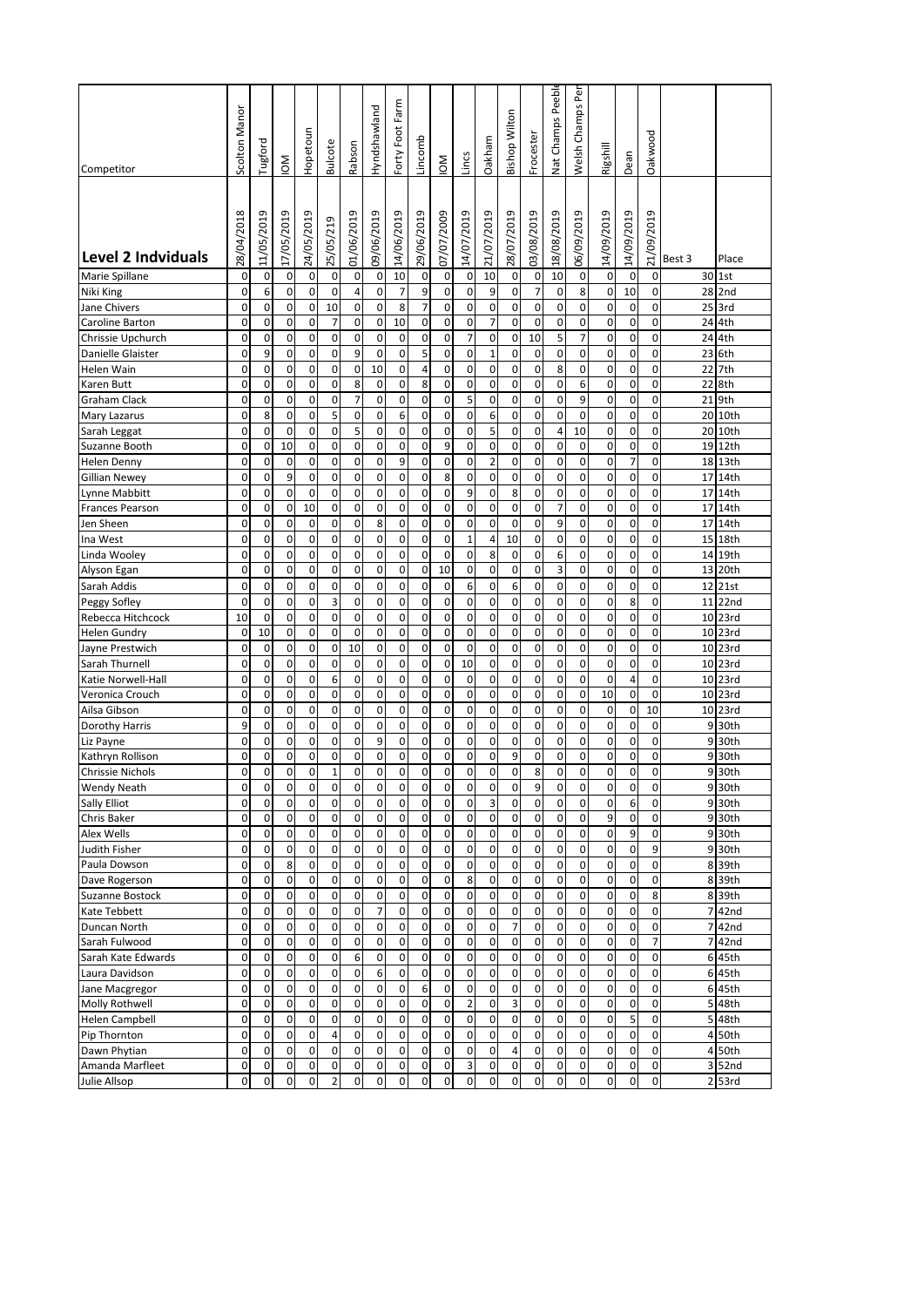| Competitor                       | Scolton Manor       | Tugford             | ŠΜ                          | Hopetoun       | <b>Bulcote</b> | Rabson              | Hyndshawland   | Forty Foot Farm     | Lincomb        | $\mathsf{M}$ | Lincs          | Oakham                  | <b>Bishop Wilton</b> | Frocester      | Nat Champs Peebl           | èĭ<br>Welsh Champs         | Rigshill       | Dean       | Oakwood        |        |                  |
|----------------------------------|---------------------|---------------------|-----------------------------|----------------|----------------|---------------------|----------------|---------------------|----------------|--------------|----------------|-------------------------|----------------------|----------------|----------------------------|----------------------------|----------------|------------|----------------|--------|------------------|
|                                  |                     |                     |                             |                |                |                     |                |                     |                |              |                |                         |                      |                |                            |                            |                |            |                |        |                  |
| <b>Level 2 Indviduals</b>        | 28/04/2018          | თ<br>11/05/201      | 17/05/201                   | თ<br>24/05/201 | 25/05/219      | Ō<br>01/06/201      | თ<br>09/06/201 | Ō<br>14/06/201      | Ō<br>29/06/201 | 07/07/2009   | თ<br>14/07/201 | თ<br>21/07/201          | თ<br>28/07/201       | თ<br>03/08/201 | Ō<br>18/08/201             | Ō<br>06/09/201             | თ<br>14/09/201 | 14/09/2019 | Ō<br>21/09/201 | Best 3 | Place            |
| Marie Spillane                   | 0                   | 0                   | 0                           | 0              | 0              | 0                   | $\pmb{0}$      | 10                  | 0              | 0            | 0              | 10                      | 0                    | 0              | 10                         | 0                          | 0              | 0          | 0              |        | 30 1st           |
| Niki King                        | $\pmb{0}$           | 6                   | $\mathbf 0$                 | 0              | 0              | 4                   | 0              | $\overline{7}$      | 9              | 0            | 0              | 9                       | 0                    | $\overline{7}$ | 0                          | 8                          | 0              | 10         | 0              |        | 28 2nd           |
| Jane Chivers                     | 0                   | 0                   | 0                           | 0              | 10             | 0                   | 0              | 8                   | $\overline{7}$ | 0            | 0              | 0                       | 0                    | 0              | 0                          | 0                          | 0              | 0          | 0              |        | 25 3rd           |
| Caroline Barton                  | 0                   | 0                   | $\mathbf 0$                 | 0              | 7              | $\mathbf 0$         | 0              | 10                  | 0              | 0            | 0              | $\overline{7}$          | 0                    | 0              | 0                          | 0                          | 0              | 0          | 0              |        | 24 4th           |
| Chrissie Upchurch                | 0                   | 0                   | $\mathbf 0$                 | 0              | 0              | $\pmb{0}$           | 0              | 0                   | 0              | 0            | 7              | 0                       | 0                    | 10             | 5                          | $\overline{7}$             | 0              | 0          | 0              | 24     | 4th              |
| Danielle Glaister                | 0                   | 9                   | 0                           | 0              | 0              | 9                   | 0              | 0                   | 5              | 0            | 0              | 1                       | 0                    | 0              | 0                          | 0                          | 0              | 0          | 0              | 23     | 6th              |
| Helen Wain                       | 0                   | 0                   | $\mathbf 0$                 | 0              | 0              | 0                   | 10             | 0                   | $\overline{4}$ | 0            | 0              | 0                       | 0                    | 0              | 8                          | 0                          | 0              | 0          | 0              | 22     | 7th              |
| Karen Butt                       | 0                   | 0                   | $\mathbf 0$                 | 0              | 0              | 8                   | 0              | 0                   | 8              | 0            | 0              | 0                       | 0                    | 0              | $\mathbf 0$                | 6                          | 0              | 0          | 0              | 22     | 8th              |
| Graham Clack                     | 0                   | 0                   | $\mathbf 0$                 | 0              | 0              | $\overline{7}$      | 0              | 0                   | 0              | 0            | 5              | 0                       | 0                    | 0              | 0                          | 9                          | 0              | 0          | 0              | 21     | 9th              |
| Mary Lazarus                     | 0                   | 8                   | $\mathbf 0$                 | 0              | 5              | 0                   | 0              | 6                   | 0              | 0            | 0              | 6                       | 0                    | 0              | $\mathbf 0$                | 0                          | 0              | 0          | 0              |        | 20 10th          |
| Sarah Leggat                     | 0                   | $\mathbf 0$         | 0                           | 0              | 0              | 5                   | 0              | 0                   | 0              | 0            | 0              | 5                       | 0                    | 0              | 4                          | 10                         | 0              | 0          | 0              |        | 20 10th          |
| Suzanne Booth                    | 0                   | 0                   | 10                          | 0              | 0              | 0                   | 0              | 0                   | 0              | 9            | 0              | 0                       | 0                    | 0              | 0                          | 0                          | 0              | 0          | 0              | 19     | 12th             |
| Helen Denny                      | 0                   | 0                   | 0                           | 0              | 0              | 0                   | 0              | 9                   | 0              | 0            | 0              | $\overline{2}$          | 0                    | 0              | 0                          | $\mathbf 0$                | 0              | 7          | 0              |        | 18 13th          |
| Gillian Newey                    | 0                   | 0                   | 9                           | 0              | 0              | $\mathbf 0$         | 0              | 0                   | 0              | 8            | 0              | 0                       | 0                    | 0              | $\mathbf 0$                | 0                          | 0              | 0          | 0              |        | 17 14th          |
| <b>Lynne Mabbitt</b>             | 0<br>0              | 0                   | $\mathbf 0$                 | 0<br>10        | 0              | 0<br>$\mathsf{o}$   | 0<br>0         | 0<br>0              | 0              | 0            | 9<br>0         | 0<br>0                  | 8<br>0               | 0              | 0<br>$\overline{7}$        | 0<br>$\overline{0}$        | 0<br>0         | 0          | 0<br>0         | 17     | 14th             |
| Frances Pearson<br>Jen Sheen     | 0                   | 0<br>0              | $\mathbf 0$<br>$\mathbf{0}$ | 0              | 0<br>0         | $\mathbf 0$         | 8              | 0                   | 0<br>0         | 0<br>0       | 0              | 0                       | 0                    | 0<br>0         | 9                          | $\overline{0}$             | 0              | 0<br>0     | 0              | 17     | 14th<br>17 14th  |
| Ina West                         | 0                   | 0                   | 0                           | 0              | 0              | 0                   | 0              | 0                   | 0              | 0            | 1              | 4                       | 10                   | 0              | 0                          | 0                          | 0              | 0          | 0              |        | 15 18th          |
| Linda Wooley                     | 0                   | 0                   | $\mathbf 0$                 | 0              | 0              | 0                   | 0              | 0                   | 0              | 0            | 0              | 8                       | 0                    | 0              | 6                          | $\mathbf 0$                | 0              | 0          | 0              |        | 14 19th          |
| Alyson Egan                      | 0                   | 0                   | $\mathbf{0}$                | 0              | 0              | $\mathbf 0$         | 0              | 0                   | 0              | 10           | 0              | 0                       | 0                    | 0              | 3                          | $\overline{0}$             | 0              | 0          | 0              |        | 13 20th          |
| Sarah Addis                      | 0                   | 0                   | $\mathbf{0}$                | 0              | 0              | 0                   | 0              | 0                   | 0              | 0            | 6              | 0                       | 6                    | 0              | 0                          | 0                          | 0              | 0          | 0              |        | 12 21st          |
| Peggy Sofley                     | 0                   | 0                   | $\mathbf 0$                 | 0              | 3              | 0                   | 0              | 0                   | 0              | 0            | 0              | 0                       | 0                    | 0              | 0                          | 0                          | 0              | 8          | 0              |        | 11 22nd          |
| Rebecca Hitchcock                | 10                  | $\mathbf 0$         | $\mathbf 0$                 | 0              | 0              | $\pmb{0}$           | 0              | 0                   | 0              | 0            | 0              | 0                       | $\pmb{0}$            | 0              | $\mathbf 0$                | $\mathbf 0$                | 0              | 0          | 0              |        | 10 23rd          |
| <b>Helen Gundry</b>              | 0                   | 10                  | 0                           | 0              | 0              | 0                   | 0              | 0                   | 0              | 0            | 0              | 0                       | 0                    | 0              | 0                          | 0                          | 0              | 0          | 0              |        | 10 23rd          |
| Jayne Prestwich                  | 0                   | 0                   | $\mathbf 0$                 | 0              | 0              | 10                  | 0              | 0                   | 0              | 0            | 0              | 0                       | 0                    | 0              | 0                          | 0                          | 0              | 0          | 0              |        | 10 23rd          |
| Sarah Thurnell                   | 0                   | 0                   | 0                           | 0              | 0              | 0                   | 0              | 0                   | 0              | 0            | 10             | 0                       | 0                    | 0              | $\mathbf 0$                | $\mathbf 0$                | 0              | 0          | 0              |        | 10 23rd          |
| Katie Norwell-Hall               | 0                   | 0                   | $\mathbf 0$                 | 0              | 6              | 0                   | 0              | 0                   | 0              | 0            | 0              | 0                       | 0                    | 0              | 0                          | 0                          | 0              | 4          | 0              |        | 10 23rd          |
| Veronica Crouch                  | 0                   | 0                   | $\mathbf 0$                 | 0              | 0              | 0                   | 0              | 0                   | 0              | 0            | 0              | 0                       | 0                    | 0              | 0                          | $\mathbf 0$                | 10             | 0          | 0              |        | 10 23rd          |
| Ailsa Gibson                     | 0                   | 0                   | $\mathbf 0$                 | 0              | 0              | 0                   | 0              | 0                   | 0              | 0            | 0              | 0                       | 0                    | 0              | 0                          | 0                          | 0              | 0          | 10             |        | 10 23rd          |
| Dorothy Harris                   | 9                   | 0                   | 0                           | 0              | 0              | 0                   | 0              | 0                   | 0              | 0            | 0              | 0                       | 0                    | 0              | 0                          | 0                          | 0              | 0          | 0              | 9      | 30th             |
| Liz Payne                        | 0                   | 0                   | $\mathbf 0$                 | 0              | 0              | 0                   | 9              | 0                   | 0              | 0            | 0              | 0                       | 0                    | 0              | $\pmb{0}$                  | $\mathbf 0$                | 0              | 0          | 0              | 9      | 30th             |
| Kathryn Rollison                 | 0                   | 0                   | $\mathbf 0$                 | 0              | 0              | $\mathsf{o}$        | 0              | $\Omega$            | 0              | 0            | 0              | 0                       | 9                    | O              | $\mathbf{0}$               | $\pmb{0}$                  | 0              | O          | $\mathsf{o}$   |        | 9 30th           |
| Chrissie Nichols                 | 0                   | $\pmb{0}$           | $\mathbf 0$                 | 0              | $\mathbf 1$    | 0                   | 0              | 0                   | 0              | 0            | 0              | 0                       | 0                    | 8              | 0                          | $\overline{0}$             | 0              | 0          | 0              |        | 9 30th           |
| Wendy Neath                      | 0                   | $\mathsf{O}\xspace$ | $\overline{0}$              | $\pmb{0}$      | 0              | $\mathbf 0$         | 0              | $\pmb{0}$           | 0              | 0            | $\pmb{0}$      | 0                       | 0                    | 9              | $\mathbf 0$                | $\overline{0}$             | $\pmb{0}$      | 0          | $\mathbf 0$    |        | 9 30th           |
| Sally Elliot                     | 0                   | 0                   | $\overline{0}$              | $\pmb{0}$      | 0              | $\mathbf 0$         | 0              | $\mathsf{O}\xspace$ | $\mathbf 0$    | $\pmb{0}$    | $\mathbf 0$    | $\overline{\mathbf{3}}$ | $\pmb{0}$            | $\mathbf 0$    | $\mathbf 0$                | $\mathbf{0}$               | $\pmb{0}$      | 6          | $\mathbf 0$    |        | $9$ 30th         |
| Chris Baker                      | 0                   | 0                   | $\mathbf 0$                 | 0              | 0              | 0                   | 0              | 0                   | 0              | 0            | 0              | 0                       | 0                    | 0              | $\mathbf 0$                | $\mathbf 0$                | 9              | 0          | 0              |        | 9 30th           |
| Alex Wells                       | 0                   | $\mathbf 0$         | $\mathbf 0$                 | 0              | 0              | $\pmb{0}$           | 0              | 0                   | 0              | 0            | $\mathbf 0$    | 0                       | 0                    | 0              | $\mathbf 0$                | $\mathbf{0}$               | $\pmb{0}$      | 9          | 0              |        | 9 30th           |
| Judith Fisher                    | 0                   | 0                   | $\mathbf 0$                 | 0              | 0              | $\pmb{0}$           | 0              | 0                   | 0              | 0            | 0              | 0                       | 0                    | 0              | $\mathbf 0$                | $\mathbf{0}$               | 0              | 0          | 9              |        | 9 30th           |
| Paula Dowson                     | 0<br>0              | 0<br>0              | 8<br>$\mathbf 0$            | 0<br>0         | 0<br>0         | 0<br>$\pmb{0}$      | 0<br>0         | 0<br>0              | 0<br>0         | 0<br>0       | 0<br>8         | 0<br>0                  | 0<br>0               | 0<br>0         | $\mathbf 0$<br>$\mathbf 0$ | $\mathbf 0$<br>$\mathbf 0$ | 0<br>0         | 0<br>0     | 0<br>0         |        | 8 39th<br>8 39th |
| Dave Rogerson<br>Suzanne Bostock | 0                   | $\mathbf 0$         | $\mathbf 0$                 | 0              | 0              | $\pmb{0}$           | 0              | 0                   | 0              | 0            | 0              | 0                       | 0                    | $\mathbf 0$    | $\mathbf 0$                | $\mathbf{0}$               | 0              | 0          | 8              |        | 8 39th           |
| Kate Tebbett                     | 0                   | $\mathbf 0$         | $\mathbf 0$                 | 0              | 0              | $\overline{0}$      | 7              | 0                   | 0              | 0            | 0              | 0                       | 0                    | 0              | $\mathbf 0$                | $\mathbf 0$                | 0              | 0          | 0              |        | 7 42nd           |
| Duncan North                     | 0                   | 0                   | $\mathbf 0$                 | 0              | 0              | $\pmb{0}$           | 0              | 0                   | 0              | 0            | 0              | 0                       | $\overline{7}$       | 0              | $\mathbf 0$                | $\mathbf{0}$               | 0              | 0          | 0              |        | 7 42nd           |
| Sarah Fulwood                    | 0                   | $\mathbf 0$         | $\mathbf 0$                 | 0              | 0              | $\mathsf{O}\xspace$ | 0              | 0                   | 0              | 0            | 0              | 0                       | 0                    | 0              | $\mathbf 0$                | $\mathbf{0}$               | 0              | 0          | $\overline{7}$ |        | 7 42nd           |
| Sarah Kate Edwards               | 0                   | $\mathbf 0$         | $\mathbf 0$                 | 0              | 0              | 6                   | 0              | 0                   | 0              | 0            | 0              | 0                       | 0                    | 0              | $\mathbf 0$                | $\overline{0}$             | 0              | 0          | 0              |        | 6 45th           |
| Laura Davidson                   | 0                   | 0                   | $\mathbf 0$                 | 0              | 0              | $\pmb{0}$           | 6              | 0                   | 0              | 0            | 0              | 0                       | 0                    | 0              | 0                          | $\mathbf{0}$               | 0              | 0          | 0              |        | 6 45th           |
| Jane Macgregor                   | 0                   | $\mathbf 0$         | $\mathbf 0$                 | 0              | 0              | $\mathsf{O}\xspace$ | 0              | 0                   | 6              | 0            | 0              | 0                       | 0                    | 0              | $\mathbf 0$                | $\mathbf{0}$               | 0              | 0          | 0              |        | 6 45th           |
| Molly Rothwell                   | 0                   | $\mathbf 0$         | $\mathbf 0$                 | 0              | 0              | 0                   | 0              | 0                   | 0              | 0            | $\overline{2}$ | 0                       | 3                    | 0              | $\mathbf 0$                | $\overline{0}$             | 0              | 0          | $\pmb{0}$      |        | 5 48th           |
| Helen Campbell                   | 0                   | 0                   | $\mathbf 0$                 | 0              | 0              | $\mathsf{O}\xspace$ | 0              | 0                   | 0              | 0            | 0              | 0                       | 0                    | 0              | 0                          | $\mathbf{0}$               | 0              | 5          | 0              |        | 5 48th           |
| Pip Thornton                     | 0                   | 0                   | $\mathbf 0$                 | 0              | 4              | 0                   | 0              | 0                   | 0              | 0            | 0              | 0                       | 0                    | 0              | 0                          | $\mathbf{0}$               | 0              | 0          | 0              |        | 4 50th           |
| Dawn Phytian                     | 0                   | 0                   | $\mathbf 0$                 | $\pmb{0}$      | 0              | $\pmb{0}$           | 0              | 0                   | 0              | 0            | 0              | 0                       | 4                    | 0              | $\mathbf 0$                | $\mathbf 0$                | 0              | 0          | $\pmb{0}$      |        | 4 50th           |
| Amanda Marfleet                  | 0                   | 0                   | 0                           | 0              | 0              | 0                   | 0              | 0                   | 0              | 0            | 3              | 0                       | 0                    | 0              | 0                          | 0                          | 0              | 0          | 0              |        | $3$ 52nd         |
| Julie Allsop                     | $\mathsf{O}\xspace$ | $\mathbf 0$         | $\overline{0}$              | 0              | $\overline{2}$ | $\mathbf 0$         | 0              | 0                   | 0              | 0            | 0              | 0                       | $\mathsf{O}\xspace$  | 0              | $\mathbf 0$                | $\overline{0}$             | $\mathbf 0$    | 0          | $\mathsf{o}$   |        | 2 53rd           |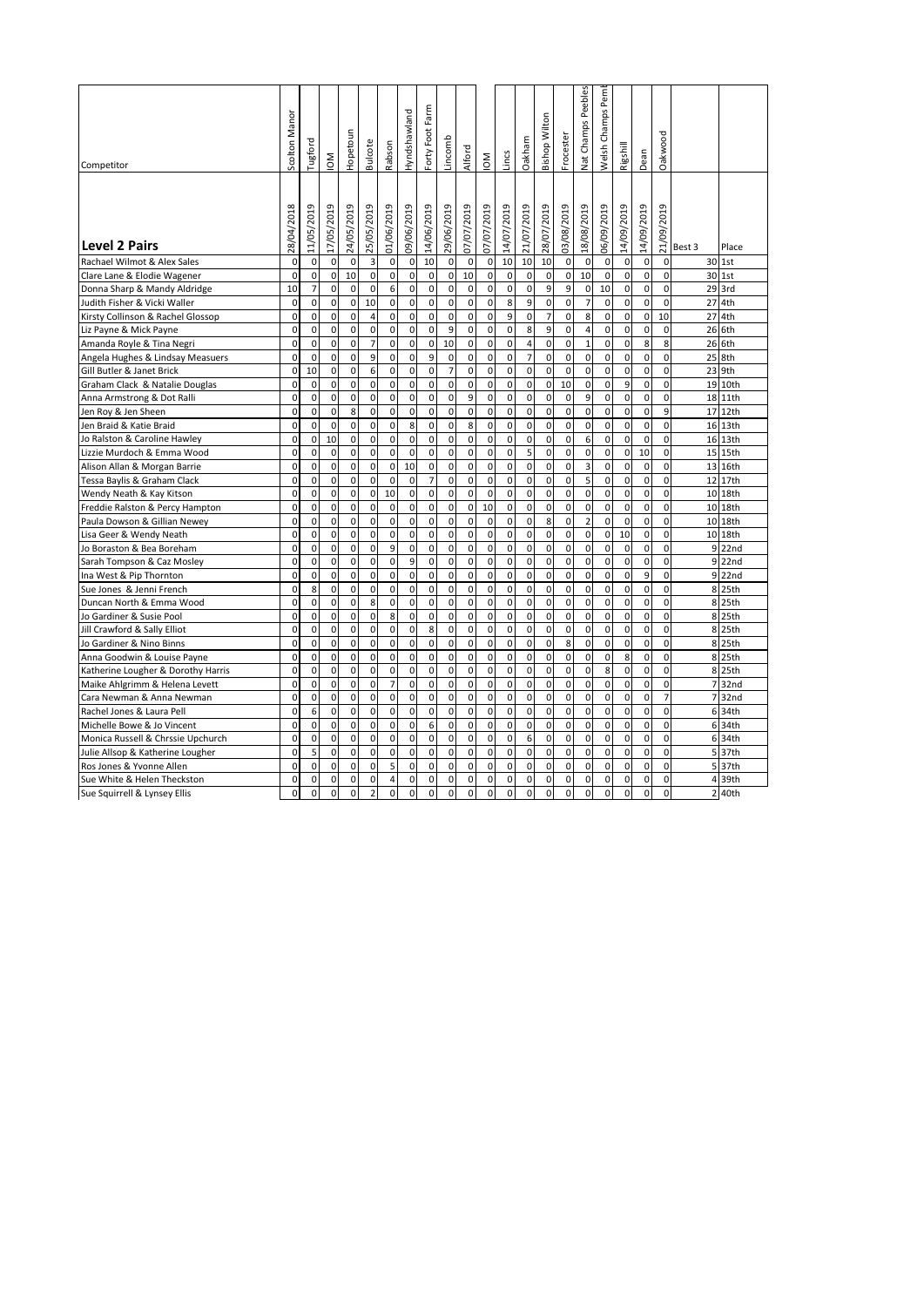| Competitor                         | Scolton Manor | Tugford        | $\mathsf{M}$ | <b>Hopetoun</b>     | <b>Bulcote</b> | Rabson         | Hyndshawland        | Forty Foot Farm | incomb         | Alford      | $\mathsf{M}$ | incs         | Oakham      | <b>Bishop Wilton</b> | Froceste    | Peebles<br>Nat Champs | Welsh Champs Pem | Rigshill    | Dean        | Oakwood             |        |    |         |
|------------------------------------|---------------|----------------|--------------|---------------------|----------------|----------------|---------------------|-----------------|----------------|-------------|--------------|--------------|-------------|----------------------|-------------|-----------------------|------------------|-------------|-------------|---------------------|--------|----|---------|
|                                    |               |                |              |                     |                |                |                     |                 |                |             |              |              |             |                      |             |                       |                  |             |             |                     |        |    |         |
| <b>Level 2 Pairs</b>               | 28/04/2018    | 11/05/2019     | 17/05/2019   | 24/05/2019          | 25/05/2019     | 01/06/2019     | 09/06/2019          | 14/06/2019      | 29/06/2019     | 07/07/2019  | 07/07/2019   | 14/07/2019   | 21/07/2019  | 28/07/2019           | 03/08/2019  | 18/08/2019            | 06/09/2019       | 14/09/2019  | 14/09/2019  | 21/09/2019          | Best 3 |    | Place   |
| Rachael Wilmot & Alex Sales        | $\mathbf 0$   | $\mathbf 0$    | $\mathbf 0$  | $\mathbf{0}$        | 3              | 0              | 0                   | 10              | $\mathbf 0$    | $\mathbf 0$ | $\mathbf 0$  | 10           | 10          | 10                   | 0           | $\mathbf 0$           | $\mathbf 0$      | $\mathbf 0$ | $\mathbf 0$ | $\mathbf 0$         |        |    | 30 1st  |
| Clare Lane & Elodie Wagener        | $\mathbf 0$   | 0              | 0            | 10                  | 0              | 0              | $\mathbf 0$         | $\mathbf 0$     | 0              | 10          | $\mathbf 0$  | $\mathbf 0$  | 0           | 0                    | 0           | 10                    | 0                | $\mathbf 0$ | 0           | $\mathbf 0$         |        |    | 30 1st  |
| Donna Sharp & Mandy Aldridge       | 10            | 7              | $\mathbf 0$  | $\mathbf 0$         | $\mathbf 0$    | 6              | $\mathbf 0$         | $\mathbf 0$     | $\mathbf 0$    | $\mathbf 0$ | $\mathbf 0$  | $\mathbf 0$  | $\mathbf 0$ | 9                    | 9           | $\mathbf 0$           | 10               | $\mathbf 0$ | $\mathbf 0$ | $\mathbf 0$         |        |    | 29 3rd  |
| Judith Fisher & Vicki Waller       | 0             | 0              | 0            | 0                   | 10             | 0              | 0                   | $\mathbf 0$     | 0              | 0           | $\mathbf 0$  | 8            | 9           | $\mathbf 0$          | $\pmb{0}$   | $\overline{7}$        | 0                | 0           | 0           | $\mathbf 0$         |        | 27 | 4th     |
| Kirsty Collinson & Rachel Glossop  | $\Omega$      | $\mathbf 0$    | $\mathbf 0$  | $\Omega$            | $\overline{4}$ | 0              | $\mathbf 0$         | $\mathbf 0$     | $\mathbf 0$    | $\mathbf 0$ | $\mathbf 0$  | 9            | $\mathbf 0$ | $\overline{7}$       | $\mathbf 0$ | 8                     | $\mathbf 0$      | $\mathbf 0$ | $\mathbf 0$ | 10                  |        |    | 27 4th  |
| Liz Payne & Mick Payne             | $\mathbf 0$   | $\mathbf 0$    | $\mathbf 0$  | $\mathbf 0$         | $\mathbf 0$    | 0              | $\mathbf 0$         | $\mathbf 0$     | 9              | $\mathbf 0$ | $\mathbf 0$  | $\mathbf{0}$ | 8           | 9                    | 0           | $\overline{4}$        | $\mathbf 0$      | $\mathbf 0$ | $\mathbf 0$ | $\mathbf 0$         |        |    | 26 6th  |
| Amanda Royle & Tina Negri          | $\Omega$      | 0              | $\mathbf 0$  | $\mathbf 0$         | $\overline{7}$ | $\mathbf 0$    | $\mathbf 0$         | $\mathbf 0$     | 10             | $\mathbf 0$ | $\mathbf 0$  | $\mathbf 0$  | 4           | 0                    | $\mathbf 0$ | $\mathbf{1}$          | $\mathbf 0$      | $\mathbf 0$ | 8           | 8                   |        |    | 26 6th  |
| Angela Hughes & Lindsay Measuers   | 0             | $\mathbf 0$    | $\mathbf 0$  | $\mathbf 0$         | 9              | 0              | $\mathbf 0$         | 9               | $\mathbf 0$    | 0           | $\mathbf 0$  | $\mathbf 0$  | 7           | 0                    | $\pmb{0}$   | $\mathbf{0}$          | $\mathbf 0$      | $\mathbf 0$ | $\mathbf 0$ | $\mathbf 0$         |        |    | 25 8th  |
| Gill Butler & Janet Brick          | $\mathbf 0$   | 10             | 0            | $\mathbf 0$         | 6              | 0              | 0                   | $\mathbf 0$     | $\overline{7}$ | 0           | $\mathbf 0$  | 0            | 0           | $\mathbf 0$          | $\pmb{0}$   | $\mathbf 0$           | $\mathbf 0$      | $\mathbf 0$ | 0           | $\mathbf 0$         |        | 23 | 9th     |
| Graham Clack & Natalie Douglas     | $\mathbf 0$   | $\mathbf 0$    | $\mathbf 0$  | $\mathbf 0$         | $\mathbf 0$    | 0              | $\mathbf 0$         | $\mathbf 0$     | $\mathbf 0$    | $\mathbf 0$ | $\mathbf 0$  | $\mathbf 0$  | $\mathbf 0$ | 0                    | 10          | $\mathbf 0$           | $\mathbf 0$      | 9           | $\mathbf 0$ | $\mathbf 0$         |        | 19 | 10th    |
| Anna Armstrong & Dot Ralli         | 0             | $\mathbf 0$    | $\mathbf 0$  | $\mathbf{0}$        | $\mathbf 0$    | 0              | $\mathbf 0$         | $\mathbf 0$     | $\mathbf 0$    | 9           | $\mathbf 0$  | $\mathbf{0}$ | $\mathbf 0$ | 0                    | 0           | $\overline{9}$        | $\mathbf 0$      | $\mathbf 0$ | $\mathbf 0$ | $\mathbf 0$         |        |    | 18 11th |
| Jen Roy & Jen Sheen                | $\Omega$      | $\mathbf 0$    | $\Omega$     | 8                   | $\Omega$       | $\mathbf 0$    | $\mathbf 0$         | $\Omega$        | $\Omega$       | $\mathbf 0$ | $\mathbf 0$  | $\mathbf 0$  | $\mathbf 0$ | 0                    | $\mathbf 0$ | $\mathbf{0}$          | $\mathbf 0$      | $\mathbf 0$ | $\mathbf 0$ | 9                   |        | 17 | 12th    |
| Jen Braid & Katie Braid            | $\Omega$      | $\mathbf 0$    | $\mathbf 0$  | $\Omega$            | $\mathbf 0$    | 0              | 8                   | $\pmb{0}$       | $\mathbf 0$    | 8           | $\pmb{0}$    | $\mathbf 0$  | $\mathbf 0$ | 0                    | $\mathbf 0$ | $\mathbf 0$           | $\mathbf 0$      | $\mathbf 0$ | $\mathbf 0$ | $\pmb{0}$           |        | 16 | 13th    |
| Jo Ralston & Caroline Hawley       | $\mathbf 0$   | $\mathbf 0$    | 10           | $\pmb{0}$           | $\mathbf 0$    | $\mathbf 0$    | $\mathbf 0$         | $\pmb{0}$       | $\mathbf 0$    | $\mathbf 0$ | $\mathbf 0$  | $\mathsf 0$  | $\mathbf 0$ | $\pmb{0}$            | $\mathbf 0$ | 6                     | $\mathbf 0$      | $\mathbf 0$ | $\mathbf 0$ | $\pmb{0}$           |        |    | 16 13th |
| Lizzie Murdoch & Emma Wood         | $\mathbf 0$   | 0              | 0            | 0                   | $\pmb{0}$      | 0              | 0                   | $\mathbf 0$     | 0              | $\mathbf 0$ | $\pmb{0}$    | $\pmb{0}$    | 5           | $\pmb{0}$            | 0           | $\mathbf 0$           | 0                | $\pmb{0}$   | 10          | 0                   |        |    | 15 15th |
| Alison Allan & Morgan Barrie       | $\mathbf 0$   | $\mathbf 0$    | $\mathbf 0$  | $\mathbf 0$         | $\pmb{0}$      | 0              | 10                  | $\mathbf 0$     | $\mathbf 0$    | $\mathbf 0$ | $\pmb{0}$    | $\pmb{0}$    | 0           | 0                    | 0           | 3                     | $\mathbf 0$      | $\mathbf 0$ | 0           | $\pmb{0}$           |        |    | 13 16th |
| Tessa Baylis & Graham Clack        | $\mathbf 0$   | 0              | $\mathbf 0$  | $\pmb{0}$           | $\mathbf 0$    | $\mathbf 0$    | 0                   | $\overline{7}$  | 0              | 0           | $\mathbf 0$  | $\pmb{0}$    | $\pmb{0}$   | $\pmb{0}$            | $\pmb{0}$   | 5                     | $\pmb{0}$        | $\pmb{0}$   | $\mathbf 0$ | $\mathbf 0$         |        |    | 12 17th |
| Wendy Neath & Kay Kitson           | $\mathbf 0$   | $\mathbf 0$    | $\mathbf 0$  | $\mathbf 0$         | 0              | 10             | 0                   | $\mathbf 0$     | $\mathbf 0$    | 0           | $\mathbf 0$  | $\pmb{0}$    | 0           | 0                    | $\mathbf 0$ | $\mathbf 0$           | $\mathbf 0$      | $\mathbf 0$ | $\mathbf 0$ | $\pmb{0}$           |        |    | 10 18th |
| Freddie Ralston & Percy Hampton    | $\mathbf 0$   | $\mathbf 0$    | $\mathbf 0$  | $\pmb{0}$           | $\mathbf 0$    | $\mathbf 0$    | $\pmb{0}$           | $\pmb{0}$       | $\mathbf 0$    | $\mathbf 0$ | 10           | $\pmb{0}$    | 0           | $\mathbf 0$          | $\mathbf 0$ | $\pmb{0}$             | $\mathbf 0$      | $\mathbf 0$ | $\mathbf 0$ | $\pmb{0}$           |        | 10 | 18th    |
| Paula Dowson & Gillian Newey       | $\mathbf 0$   | 0              | $\pmb{0}$    | $\mathbf 0$         | $\pmb{0}$      | 0              | 0                   | $\mathbf 0$     | 0              | $\mathbf 0$ | $\mathbf 0$  | $\mathsf 0$  | 0           | 8                    | 0           | $\overline{2}$        | 0                | 0           | 0           | 0                   |        |    | 10 18th |
| Lisa Geer & Wendy Neath            | $\mathbf 0$   | $\mathbf 0$    | $\mathbf 0$  | $\mathbf 0$         | $\pmb{0}$      | 0              | $\pmb{0}$           | $\mathbf 0$     | $\mathbf 0$    | $\mathbf 0$ | $\pmb{0}$    | $\mathsf 0$  | 0           | $\mathbf 0$          | $\pmb{0}$   | $\mathbf 0$           | $\mathbf 0$      | 10          | $\pmb{0}$   | $\pmb{0}$           |        |    | 10 18th |
| Jo Boraston & Bea Boreham          | $\mathbf 0$   | $\mathbf 0$    | $\mathbf 0$  | $\pmb{0}$           | $\mathbf 0$    | 9              | 0                   | $\mathbf 0$     | $\mathbf 0$    | $\mathbf 0$ | $\mathbf 0$  | $\mathbf 0$  | 0           | $\pmb{0}$            | $\mathbf 0$ | $\mathbf 0$           | $\mathbf 0$      | $\mathbf 0$ | $\mathbf 0$ | $\mathsf 0$         |        | 9  | 22nd    |
| Sarah Tompson & Caz Mosley         | 0             | $\mathbf 0$    | $\mathbf 0$  | $\mathbf 0$         | $\mathbf 0$    | 0              | 9                   | $\pmb{0}$       | $\mathbf 0$    | 0           | $\mathbf 0$  | $\mathbf 0$  | $\mathbf 0$ | 0                    | $\mathbf 0$ | $\mathbf 0$           | $\mathbf 0$      | $\mathbf 0$ | $\mathbf 0$ | $\mathbf 0$         |        |    | 9 22nd  |
| Ina West & Pip Thornton            | $\mathbf 0$   | $\mathbf 0$    | $\mathbf 0$  | $\pmb{0}$           | $\mathbf 0$    | $\mathbf 0$    | $\mathbf 0$         | $\pmb{0}$       | $\mathbf 0$    | $\mathbf 0$ | $\mathbf 0$  | $\pmb{0}$    | $\pmb{0}$   | $\pmb{0}$            | $\pmb{0}$   | $\pmb{0}$             | $\mathbf 0$      | $\mathbf 0$ | 9           | $\pmb{0}$           |        |    | 9 22nd  |
| Sue Jones & Jenni French           | $\mathbf 0$   | 8              | $\mathbf 0$  | $\mathbf 0$         | $\pmb{0}$      | 0              | 0                   | $\mathbf 0$     | $\mathbf 0$    | $\mathbf 0$ | $\pmb{0}$    | $\mathsf 0$  | 0           | $\pmb{0}$            | 0           | $\mathbf 0$           | $\mathbf 0$      | $\mathbf 0$ | 0           | $\mathbf 0$         |        |    | 8 25th  |
| Duncan North & Emma Wood           | 0             | $\mathbf 0$    | $\mathbf 0$  | $\mathbf 0$         | 8              | 0              | 0                   | $\mathbf 0$     | $\mathbf 0$    | $\mathbf 0$ | $\pmb{0}$    | $\pmb{0}$    | 0           | 0                    | $\mathbf 0$ | $\mathbf 0$           | $\mathbf 0$      | $\mathbf 0$ | $\mathbf 0$ | $\mathsf{O}\xspace$ |        |    | 8 25th  |
| Jo Gardiner & Susie Pool           | $\Omega$      | $\mathbf 0$    | $\mathbf 0$  | $\mathbf 0$         | $\mathbf 0$    | 8              | $\mathbf 0$         | $\mathbf 0$     | $\mathbf 0$    | $\mathbf 0$ | $\mathbf 0$  | $\pmb{0}$    | 0           | $\pmb{0}$            | $\mathbf 0$ | $\mathbf 0$           | $\mathbf 0$      | $\mathbf 0$ | $\mathbf 0$ | $\mathbf 0$         |        |    | 8 25th  |
| Jill Crawford & Sally Elliot       | $\mathbf 0$   | $\mathbf 0$    | $\mathbf 0$  | $\mathbf 0$         | $\mathbf 0$    | 0              | 0                   | 8               | $\mathbf 0$    | 0           | $\mathbf 0$  | $\mathbf 0$  | $\mathbf 0$ | 0                    | $\mathbf 0$ | $\mathbf 0$           | $\mathbf 0$      | $\mathbf 0$ | $\mathbf 0$ | $\mathbf 0$         |        |    | 8 25th  |
| Jo Gardiner & Nino Binns           | $\mathbf 0$   | $\mathbf 0$    | $\mathbf 0$  | $\mathbf 0$         | $\mathbf 0$    | $\mathbf 0$    | $\mathbf 0$         | $\mathbf 0$     | $\mathbf 0$    | $\mathbf 0$ | $\mathbf 0$  | $\pmb{0}$    | 0           | $\pmb{0}$            | 8           | $\pmb{0}$             | $\mathbf 0$      | $\mathbf 0$ | $\mathbf 0$ | $\mathbf 0$         |        | 8  | 25th    |
| Anna Goodwin & Louise Payne        | $\mathbf 0$   | $\mathbf 0$    | $\mathbf 0$  | $\mathbf{0}$        | $\pmb{0}$      | 0              | 0                   | $\mathbf 0$     | $\mathbf 0$    | $\mathbf 0$ | $\pmb{0}$    | $\mathsf 0$  | 0           | $\pmb{0}$            | 0           | $\mathbf 0$           | $\mathbf 0$      | 8           | 0           | $\mathbf 0$         |        |    | 8 25th  |
| Katherine Lougher & Dorothy Harris | 0             | $\mathbf 0$    | $\mathbf 0$  | $\mathbf 0$         | $\mathbf 0$    | 0              | $\pmb{0}$           | $\mathbf 0$     | $\mathbf 0$    | $\mathbf 0$ | $\pmb{0}$    | $\pmb{0}$    | 0           | $\mathbf 0$          | 0           | $\mathbf 0$           | 8                | $\mathbf 0$ | $\mathbf 0$ | $\mathbf{0}$        |        |    | 8 25th  |
| Maike Ahlgrimm & Helena Levett     | $\mathbf 0$   | $\overline{0}$ | $\mathbf 0$  | $\mathbf 0$         | $\mathbf 0$    | $\overline{7}$ | $\mathbf 0$         | $\mathbf 0$     | $\mathbf 0$    | $\mathbf 0$ | $\mathbf 0$  | $\mathbf 0$  | $\mathbf 0$ | $\mathbf 0$          | $\mathbf 0$ | $\mathbf{0}$          | $\mathbf 0$      | $\mathbf 0$ | $\mathbf 0$ | $\mathbf 0$         |        |    | 7 32nd  |
| Cara Newman & Anna Newman          | $\mathbf 0$   | $\overline{0}$ | $\mathbf 0$  | $\mathbf 0$         | $\mathbf 0$    | 0              | $\pmb{0}$           | $\mathbf 0$     | $\mathbf 0$    | $\mathbf 0$ | $\mathbf 0$  | $\mathbf 0$  | $\mathbf 0$ | 0                    | $\mathbf 0$ | $\mathbf 0$           | $\mathbf 0$      | $\mathbf 0$ | $\mathbf 0$ | $\overline{7}$      |        |    | 7 32nd  |
| Rachel Jones & Laura Pell          | $\Omega$      | 6              | $\mathbf 0$  | $\mathbf 0$         | $\mathbf 0$    | $\overline{0}$ | $\pmb{0}$           | $\mathbf 0$     | $\mathbf 0$    | $\mathbf 0$ | $\mathbf 0$  | $\mathbf 0$  | $\pmb{0}$   | $\mathbf 0$          | $\mathbf 0$ | $\pmb{0}$             | $\mathbf 0$      | $\mathbf 0$ | $\mathbf 0$ | $\mathbf 0$         |        |    | 6 34th  |
| Michelle Bowe & Jo Vincent         | $\mathbf 0$   | $\mathbf 0$    | $\pmb{0}$    | $\mathsf{O}\xspace$ | $\pmb{0}$      | $\pmb{0}$      | $\mathsf{O}\xspace$ | 6               | $\mathbf 0$    | $\mathbf 0$ | $\mathbf 0$  | $\mathsf{O}$ | $\pmb{0}$   | $\pmb{0}$            | $\pmb{0}$   | $\overline{0}$        | $\mathbf 0$      | $\mathbf 0$ | 0           | $\mathbf 0$         |        |    | 6 34th  |
| Monica Russell & Chrssie Upchurch  | 0             | 0              | $\mathbf 0$  | $\mathbf 0$         | $\mathbf 0$    | 0              | 0                   | $\mathbf 0$     | 0              | $\mathbf 0$ | $\mathbf 0$  | $\pmb{0}$    | 6           | $\mathbf 0$          | 0           | $\mathbf 0$           | 0                | 0           | 0           | $\mathbf 0$         |        |    | 6 34th  |
| Julie Allsop & Katherine Lougher   | 0             | 5              | $\mathbf 0$  | $\mathbf 0$         | $\mathbf 0$    | 0              | $\mathbf 0$         | $\mathbf 0$     | $\mathbf 0$    | $\mathbf 0$ | $\mathbf 0$  | $\mathbf 0$  | $\mathbf 0$ | $\mathbf 0$          | $\mathbf 0$ | $\mathbf 0$           | $\mathbf 0$      | $\mathbf 0$ | $\mathbf 0$ | $\mathbf 0$         |        |    | 5 37th  |
| Ros Jones & Yvonne Allen           | 0             | $\mathbf 0$    | $\mathbf 0$  | $\mathbf 0$         | $\mathbf 0$    | 5              | 0                   | $\mathbf 0$     | $\mathbf 0$    | 0           | $\mathbf 0$  | $\mathbf 0$  | $\mathbf 0$ | 0                    | $\pmb{0}$   | 0                     | $\mathbf 0$      | $\mathbf 0$ | $\mathbf 0$ | $\mathbf 0$         |        |    | 5 37th  |
| Sue White & Helen Theckston        | $\Omega$      | $\mathbf 0$    | $\Omega$     | $\mathbf 0$         | $\mathbf 0$    | $\overline{4}$ | $\mathbf 0$         | $\mathbf 0$     | $\mathbf 0$    | 0           | $\mathbf 0$  | $\mathbf 0$  | $\mathbf 0$ | $\mathbf 0$          | $\pmb{0}$   | $\mathbf{0}$          | $\mathbf 0$      | 0           | $\Omega$    | $\mathbf 0$         |        |    | 4 39th  |
| Sue Squirrell & Lynsey Ellis       | 0             | $\mathbf 0$    | $\mathbf 0$  | $\mathbf 0$         | $\overline{2}$ | $\mathbf{0}$   | $\mathbf 0$         | $\mathbf 0$     | $\mathbf 0$    | $\mathbf 0$ | $\mathbf 0$  | $\mathbf{0}$ | 0           | 0                    | $\mathbf 0$ | $\mathbf{0}$          | $\mathbf 0$      | $\mathbf 0$ | $\mathbf 0$ | $\mathbf{0}$        |        |    | 2 40th  |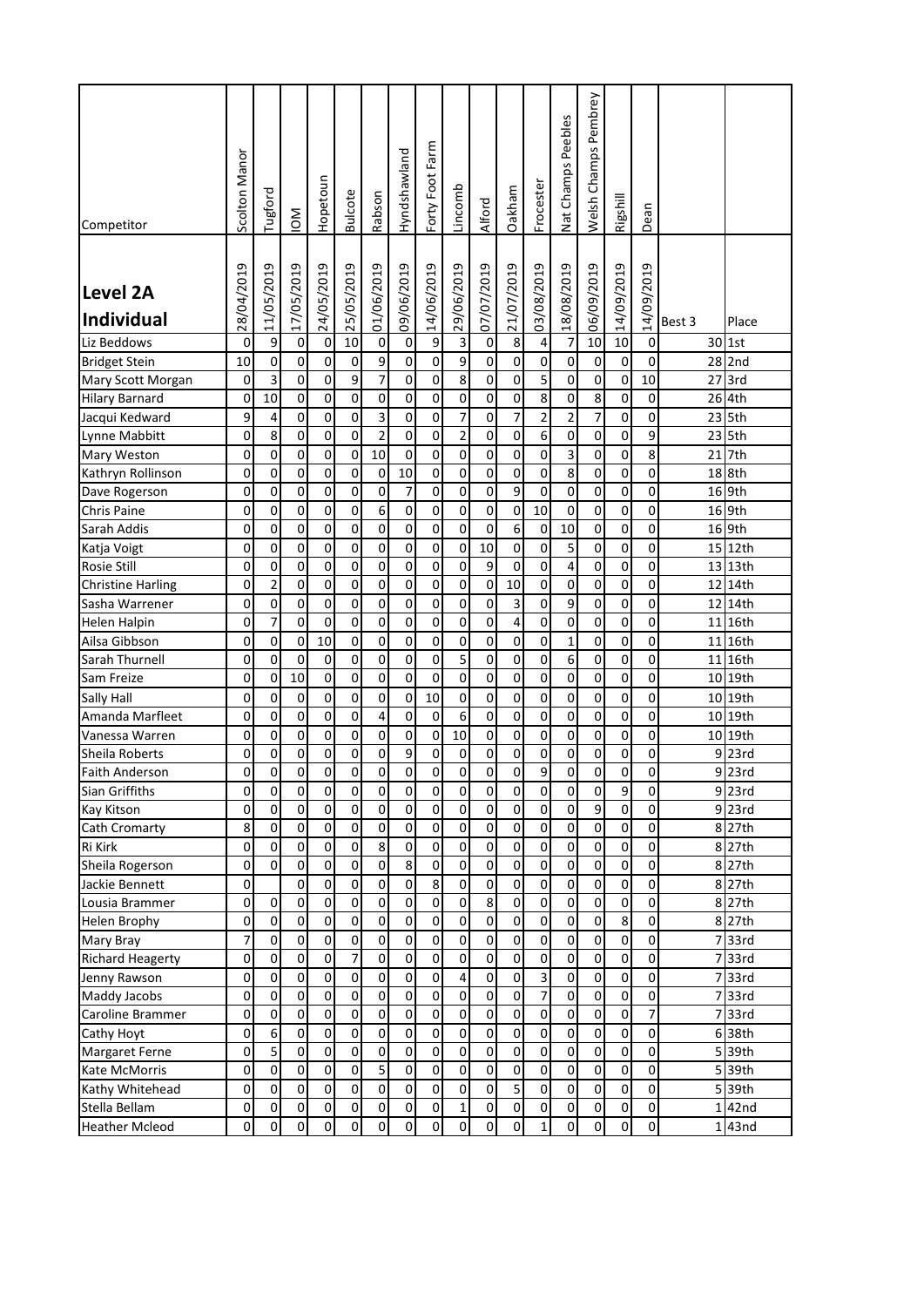| Competitor                           | Scolton Manor | Tugford             | $\mathop{\mathsf{SO}}\nolimits$ | Hopetoun            | <b>Bulcote</b>      | Rabson         | Hyndshawland        | Forty Foot Farm | Lincomb             | Alford              | Oakham     | Frocester      | Nat Champs Peebles  | Welsh Champs Pembrey | Rigshill   | Dean                |                 |                     |
|--------------------------------------|---------------|---------------------|---------------------------------|---------------------|---------------------|----------------|---------------------|-----------------|---------------------|---------------------|------------|----------------|---------------------|----------------------|------------|---------------------|-----------------|---------------------|
| <b>Level 2A</b><br><b>Individual</b> | 28/04/2019    | 11/05/2019          | 17/05/2019                      | 24/05/2019          | 25/05/2019          | 01/06/2019     | 09/06/2019          | 14/06/2019      | 29/06/2019          | 07/07/2019          | 21/07/2019 | 03/08/2019     | 18/08/2019          | 06/09/2019           | 14/09/2019 | 14/09/2019          | Best 3          | Place               |
| Liz Beddows                          | 0             | 9                   | 0                               | 0                   | 10                  | $\pmb{0}$      | $\pmb{0}$           | 9               | 3                   | $\mathbf 0$         | 8          | 4              | $\overline{7}$      | 10                   | 10         | $\mathbf 0$         |                 | 30 1st              |
| <b>Bridget Stein</b>                 | 10            | 0                   | 0                               | $\mathsf 0$         | 0                   | 9              | 0                   | 0               | 9                   | 0                   | 0          | 0              | 0                   | 0                    | 0          | 0                   |                 | 28 2nd              |
| Mary Scott Morgan                    | 0             | 3                   | 0                               | 0                   | 9                   | $\overline{7}$ | 0                   | 0               | 8                   | 0                   | 0          | 5              | 0                   | 0                    | 0          | 10                  |                 | 27 3rd              |
| <b>Hilary Barnard</b>                | 0             | 10                  | 0                               | $\mathsf 0$         | $\mathsf 0$         | $\pmb{0}$      | 0                   | 0               | 0                   | 0                   | 0          | 8              | 0                   | 8                    | 0          | 0                   |                 | 26 4th              |
| Jacqui Kedward                       | 9             | 4                   | 0                               | $\mathsf 0$         | 0                   | 3              | 0                   | 0               | 7                   | 0                   | 7          | $\overline{2}$ | $\mathbf 2$         | 7                    | 0          | 0                   |                 | 23 5th              |
|                                      |               |                     | 0                               | 0                   | 0                   | $\overline{2}$ | 0                   | 0               | $\mathbf 2$         | 0                   | 0          | 6              | $\mathbf 0$         | 0                    | 0          | 9                   |                 | 23 5th              |
| Lynne Mabbitt                        | 0             | 8                   |                                 |                     |                     |                |                     |                 |                     |                     |            |                |                     |                      |            |                     |                 |                     |
| Mary Weston                          | 0             | 0                   | 0                               | 0                   | 0                   | 10             | 0                   | 0               | 0                   | 0                   | 0          | 0              | 3                   | 0                    | 0          | 8                   | 21              | 7th                 |
| Kathryn Rollinson                    | 0             | 0                   | 0                               | 0                   | 0                   | 0              | 10                  | 0               | 0                   | 0                   | 0          | 0              | 8                   | 0                    | 0          | 0                   |                 | 18 8th              |
| Dave Rogerson                        | 0             | 0                   | 0                               | 0                   | 0                   | 0              | 7                   | 0               | 0                   | 0                   | 9          | 0              | 0                   | 0                    | 0          | 0                   |                 | 16 9th              |
| <b>Chris Paine</b>                   | 0             | 0                   | 0                               | 0                   | 0                   | 6              | 0                   | 0               | 0                   | 0                   | 0          | 10             | 0                   | 0                    | 0          | 0                   |                 | 16 9th              |
| Sarah Addis                          | 0             | 0                   | 0                               | $\mathsf{O}\xspace$ | 0                   | 0              | 0                   | 0               | 0                   | 0                   | 6          | 0              | 10                  | 0                    | 0          | 0                   |                 | 16 9th              |
| Katja Voigt                          | 0             | 0                   | 0                               | 0                   | 0                   | $\pmb{0}$      | 0                   | 0               | 0                   | 10                  | 0          | 0              | 5                   | 0                    | 0          | 0                   |                 | 15 12th             |
| Rosie Still                          | 0             | 0                   | 0                               | 0                   | 0                   | $\pmb{0}$      | 0                   | 0               | 0                   | 9                   | 0          | 0              | 4                   | 0                    | 0          | 0                   |                 | 13 13th             |
| <b>Christine Harling</b>             | 0             | $\mathbf 2$         | 0                               | 0                   | 0                   | $\pmb{0}$      | 0                   | 0               | 0                   | 0                   | 10         | 0              | $\pmb{0}$           | 0                    | 0          | 0                   | 12              | 14th                |
| Sasha Warrener                       | 0             | 0                   | 0                               | 0                   | 0                   | $\pmb{0}$      | 0                   | 0               | 0                   | 0                   | 3          | 0              | 9                   | 0                    | 0          | 0                   | 12 <sub>l</sub> | 14th                |
| <b>Helen Halpin</b>                  | 0             | $\overline{7}$      | 0                               | 0                   | 0                   | 0              | 0                   | 0               | 0                   | 0                   | 4          | 0              | 0                   | 0                    | 0          | 0                   | 11              | 16th                |
| Ailsa Gibbson                        | 0             | 0                   | 0                               | 10                  | 0                   | 0              | 0                   | 0               | 0                   | 0                   | 0          | 0              | $\mathbf{1}$        | 0                    | 0          | 0                   | 11              | 16th                |
| Sarah Thurnell                       | 0             | 0                   | 0                               | 0                   | 0                   | $\pmb{0}$      | 0                   | 0               | 5                   | 0                   | 0          | 0              | 6                   | 0                    | 0          | 0                   | 11              | 16th                |
|                                      |               | 0                   | 10                              | 0                   | 0                   | $\pmb{0}$      | 0                   | 0               | 0                   | 0                   | 0          | 0              | $\mathbf 0$         | 0                    | 0          | 0                   |                 | 10 19th             |
| Sam Freize                           | 0             |                     |                                 |                     |                     |                |                     |                 |                     |                     |            |                |                     |                      |            |                     |                 |                     |
| Sally Hall                           | 0             | 0                   | 0                               | 0                   | 0                   | $\pmb{0}$      | 0                   | 10              | 0                   | 0                   | 0          | 0              | $\pmb{0}$           | 0                    | 0          | 0                   |                 | 10 19th             |
| Amanda Marfleet                      | 0             | 0                   | 0                               | 0                   | 0                   | 4              | 0                   | 0               | 6                   | 0                   | 0          | 0              | $\mathsf{O}\xspace$ | 0                    | 0          | 0                   |                 | 10 19th             |
| Vanessa Warren                       | 0             | 0                   | 0                               | 0                   | $\pmb{0}$           | 0              | 0                   | 0               | 10                  | 0                   | 0          | 0              | $\mathsf{O}\xspace$ | 0                    | 0          | 0                   |                 | 10 19th             |
| Sheila Roberts                       | 0             | 0                   | 0                               | 0                   | 0                   | 0              | 9                   | 0               | 0                   | 0                   | 0          | 0              | 0                   | 0                    | 0          | 0                   |                 | 9 23rd              |
| <b>Faith Anderson</b>                | 0             | 0                   | 0                               | 0                   | 0                   | 0              | 0                   | $\overline{0}$  | 0                   | 0                   | 0          | 9              | 0                   | 0                    | 0          | 0                   |                 | 9 23rd              |
| Sian Griffiths                       | 0             | 0                   | 0                               | $\overline{0}$      | 0                   | 0              | 0                   | 0               | 0                   | $\overline{0}$      | 0          | 0              | $\pmb{0}$           | 0                    | 9          | $\mathbf 0$         |                 | 9 23rd              |
| Kay Kitson                           | 0             | $\mathsf{O}\xspace$ | $\pmb{0}$                       | $\mathsf{O}\xspace$ | $\mathbf 0$         | 0              | $\mathsf{O}\xspace$ | 0               | $\mathsf{O}\xspace$ | 0                   | 0          | $\pmb{0}$      | 0                   | 9                    | 0          | 0                   |                 | $9$  23rd           |
| Cath Cromarty                        | 8             | $\pmb{0}$           | $\pmb{0}$                       | $\mathsf{O}\xspace$ | $\mathsf{O}\xspace$ | $\mathbf 0$    | $\mathsf{O}\xspace$ | $\pmb{0}$       | $\pmb{0}$           | $\mathsf{O}\xspace$ | 0          | $\pmb{0}$      | $\pmb{0}$           | $\mathsf 0$          | 0          | $\mathsf 0$         |                 | 8 27th              |
| Ri Kirk                              | 0             | $\pmb{0}$           | $\pmb{0}$                       | $\pmb{0}$           | $\mathbf 0$         | 8              | $\mathsf{O}\xspace$ | $\pmb{0}$       | $\pmb{0}$           | 0                   | 0          | 0              | $\pmb{0}$           | 0                    | 0          | $\mathsf 0$         |                 | 8 27th              |
| Sheila Rogerson                      | 0             | $\mathbf 0$         | 0                               | $\pmb{0}$           | $\mathbf 0$         | $\mathbf 0$    | 8                   | 0               | $\pmb{0}$           | 0                   | 0          | 0              | $\pmb{0}$           | 0                    | 0          | $\mathsf 0$         |                 | 8 27th              |
| Jackie Bennett                       | 0             |                     | 0                               | $\pmb{0}$           | $\mathsf 0$         | 0              | $\mathbf 0$         | 8               | $\pmb{0}$           | 0                   | 0          | 0              | $\pmb{0}$           | 0                    | 0          | $\mathsf 0$         |                 | 8 27th              |
| Lousia Brammer                       | 0             | 0                   | 0                               | 0                   | $\mathsf 0$         | 0              | $\mathbf 0$         | 0               | 0                   | 8                   | 0          | 0              | $\pmb{0}$           | 0                    | 0          | $\mathsf 0$         |                 | 8 27th              |
| <b>Helen Brophy</b>                  | 0             | $\pmb{0}$           | 0                               | 0                   | $\mathsf 0$         | 0              | $\pmb{0}$           | 0               | 0                   | 0                   | 0          | 0              | $\pmb{0}$           | 0                    | 8          | $\mathbf 0$         |                 | 8 27th              |
| Mary Bray                            | 7             | $\pmb{0}$           | 0                               | $\pmb{0}$           | $\mathsf 0$         | 0              | $\pmb{0}$           | 0               | $\pmb{0}$           | 0                   | 0          | $\pmb{0}$      | $\pmb{0}$           | 0                    | 0          | $\mathbf 0$         |                 | 7 33rd              |
| <b>Richard Heagerty</b>              | 0             | $\pmb{0}$           | 0                               | $\mathsf{O}\xspace$ | $\overline{7}$      | $\pmb{0}$      | $\mathsf{O}\xspace$ | 0               | $\mathbf 0$         | 0                   | 0          | $\pmb{0}$      | $\pmb{0}$           | 0                    | 0          | $\mathsf{O}\xspace$ |                 | 7 33rd              |
|                                      |               |                     |                                 |                     |                     |                |                     |                 |                     |                     |            |                |                     |                      |            |                     |                 |                     |
| Jenny Rawson                         | 0             | $\pmb{0}$           | 0                               | $\pmb{0}$           | $\mathsf 0$         | $\pmb{0}$      | $\mathsf{O}\xspace$ | 0               | 4                   | 0                   | 0          | 3              | $\pmb{0}$           | 0                    | 0          | $\mathsf{O}\xspace$ |                 | 7 33rd              |
| Maddy Jacobs                         | 0             | $\pmb{0}$           | 0                               | $\pmb{0}$           | $\pmb{0}$           | $\pmb{0}$      | $\mathsf{O}\xspace$ | 0               | $\pmb{0}$           | 0                   | 0          | 7              | $\pmb{0}$           | 0                    | 0          | $\mathsf{O}\xspace$ |                 | 7 33rd              |
| Caroline Brammer                     | 0             | $\pmb{0}$           | 0                               | $\pmb{0}$           | $\mathsf 0$         | 0              | $\pmb{0}$           | 0               | $\pmb{0}$           | 0                   | 0          | 0              | $\pmb{0}$           | $\mathsf 0$          | 0          | $\overline{7}$      |                 | 7 33rd              |
| Cathy Hoyt                           | 0             | 6                   | 0                               | 0                   | $\mathsf 0$         | 0              | $\pmb{0}$           | 0               | 0                   | 0                   | 0          | 0              | $\pmb{0}$           | $\pmb{0}$            | 0          | $\mathsf{O}\xspace$ |                 | 6 38th              |
| Margaret Ferne                       | 0             | 5                   | 0                               | $\pmb{0}$           | $\mathsf 0$         | 0              | $\pmb{0}$           | 0               | 0                   | 0                   | 0          | 0              | $\pmb{0}$           | 0                    | 0          | $\mathsf{O}\xspace$ |                 | $\overline{5}$ 39th |
| Kate McMorris                        | 0             | $\pmb{0}$           | $\pmb{0}$                       | $\pmb{0}$           | $\mathsf 0$         | 5              | $\mathsf{O}\xspace$ | 0               | $\mathbf 0$         | $\pmb{0}$           | 0          | 0              | $\pmb{0}$           | 0                    | 0          | $\mathsf{O}\xspace$ |                 | $\overline{5}$ 39th |
| Kathy Whitehead                      | 0             | $\pmb{0}$           | $\pmb{0}$                       | $\pmb{0}$           | $\mathsf{O}\xspace$ | $\pmb{0}$      | $\pmb{0}$           | $\pmb{0}$       | $\mathbf 0$         | 0                   | 5          | 0              | $\pmb{0}$           | 0                    | 0          | $\mathsf{O}\xspace$ |                 | $\overline{5}$ 39th |
| Stella Bellam                        | 0             | $\pmb{0}$           | 0                               | $\pmb{0}$           | $\pmb{0}$           | $\pmb{0}$      | $\pmb{0}$           | $\pmb{0}$       | $\mathbf{1}$        | $\pmb{0}$           | 0          | 0              | $\pmb{0}$           | 0                    | 0          | $\mathsf 0$         |                 | 142nd               |
| <b>Heather Mcleod</b>                | 0             | $\mathbf 0$         | 0                               | $\mathsf{o}$        | $\mathsf{O}\xspace$ | $\pmb{0}$      | $\pmb{0}$           | 0               | $\pmb{0}$           | $\mathsf{O}\xspace$ | 0          | 1              | $\pmb{0}$           | 0                    | 0          | $\mathsf{O}\xspace$ |                 | $1$ 43nd            |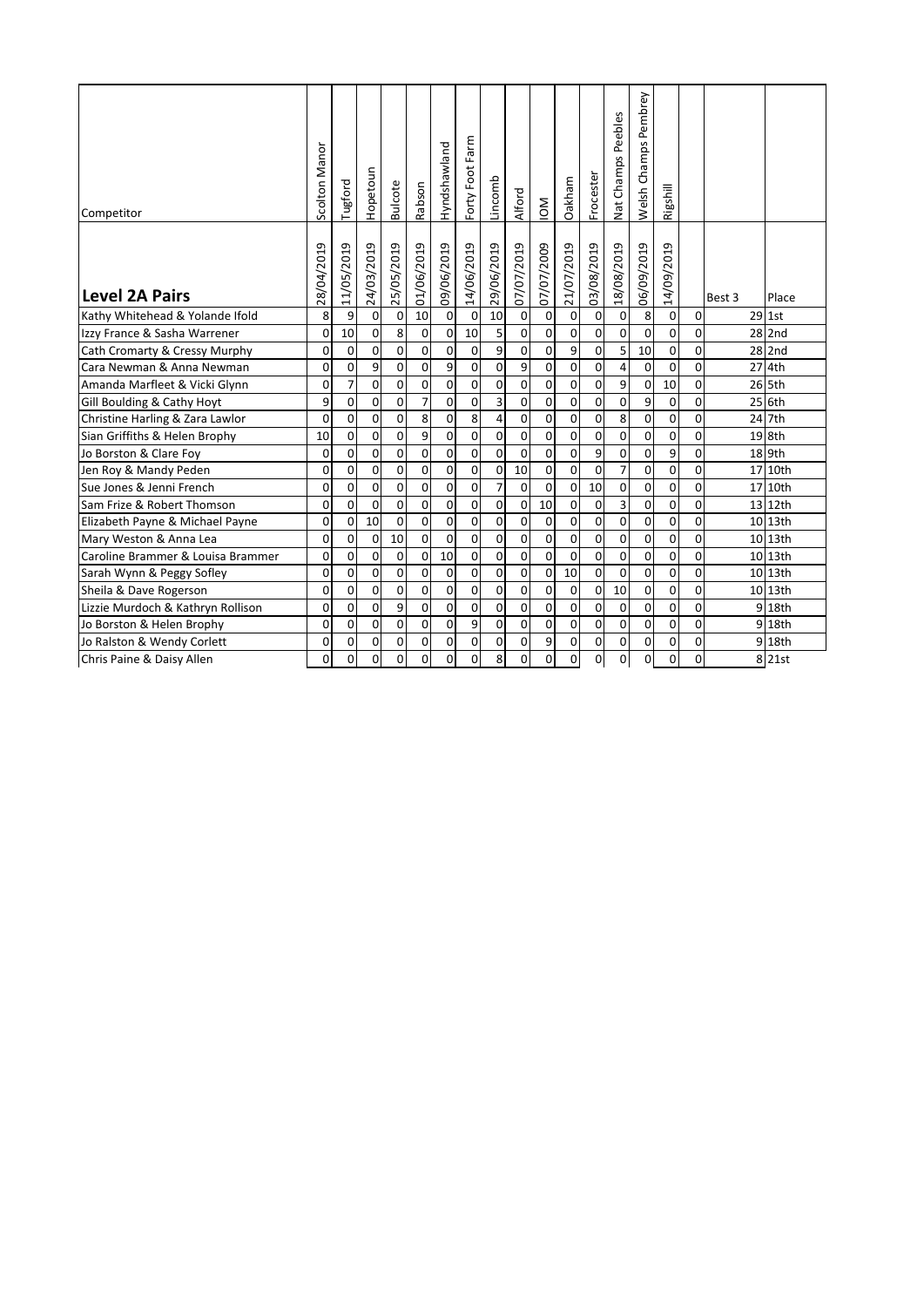| Competitor                        | Scolton Manor | Tugford        | Hopetoun    | <b>Bulcote</b> | Rabson         | Hyndshawland   | Forty Foot Farm | Lincomb             | Alford      | $\sum_{i=1}^{n}$ | Oakham      | Frocester      | Nat Champs Peebles | Welsh Champs Pembrey | Rigshill       |             |        |          |
|-----------------------------------|---------------|----------------|-------------|----------------|----------------|----------------|-----------------|---------------------|-------------|------------------|-------------|----------------|--------------------|----------------------|----------------|-------------|--------|----------|
| <b>Level 2A Pairs</b>             | 28/04/2019    | 11/05/2019     | 24/03/2019  | 25/05/2019     | 01/06/2019     | 09/06/2019     | 14/06/2019      | 29/06/2019          | 07/07/2019  | 07/07/2009       | 21/07/2019  | 03/08/2019     | 18/08/2019         | 06/09/2019           | 14/09/2019     |             | Best 3 | Place    |
| Kathy Whitehead & Yolande Ifold   | 8             | 9              | 0           | $\pmb{0}$      | 10             | $\pmb{0}$      | $\mathbf 0$     | 10                  | $\pmb{0}$   | 0                | 0           | 0              | 0                  | 8                    | $\Omega$       | $\mathbf 0$ |        | 29 1st   |
| Izzy France & Sasha Warrener      | $\mathbf 0$   | 10             | $\mathbf 0$ | 8              | $\mathbf 0$    | $\pmb{0}$      | 10              | 5                   | $\mathbf 0$ | $\pmb{0}$        | 0           | 0              | $\overline{0}$     | $\mathbf 0$          | $\overline{0}$ | $\mathbf 0$ |        | 28 2nd   |
| Cath Cromarty & Cressy Murphy     | $\mathbf 0$   | $\mathbf 0$    | 0           | $\mathbf 0$    | 0              | 0              | $\mathbf 0$     | 9                   | 0           | 0                | 9           | 0              | 5                  | 10                   | 0              | $\mathbf 0$ |        | $28$ 2nd |
| Cara Newman & Anna Newman         | $\mathbf 0$   | $\mathbf 0$    | 9           | $\mathbf 0$    | 0              | $\overline{9}$ | $\mathbf 0$     | $\mathsf{o}$        | 9           | $\overline{0}$   | 0           | $\mathbf 0$    | 4                  | $\mathbf 0$          | $\mathbf 0$    | 0           |        | 27 4th   |
| Amanda Marfleet & Vicki Glynn     | $\mathbf 0$   | $\overline{7}$ | 0           | $\mathbf 0$    | 0              | 0              | $\mathbf 0$     | 0                   | 0           | 0                | 0           | 0              | 9                  | $\mathsf 0$          | 10             | 0           |        | 26 5th   |
| Gill Boulding & Cathy Hoyt        | 9             | $\mathbf 0$    | $\mathbf 0$ | 0              | $\overline{7}$ | 0              | $\mathbf 0$     | 3                   | 0           | 0                | 0           | 0              | $\mathbf 0$        | 9                    | $\mathbf 0$    | 0           |        | 25 6th   |
| Christine Harling & Zara Lawlor   | $\Omega$      | $\Omega$       | $\Omega$    | 0              | 8              | $\mathbf 0$    | 8               | $\overline{4}$      | 0           | 0                | 0           | $\mathbf 0$    | 8                  | $\mathbf 0$          | $\mathbf 0$    | $\Omega$    |        | 24 7th   |
| Sian Griffiths & Helen Brophy     | 10            | $\mathbf 0$    | 0           | $\mathbf 0$    | 9              | 0              | $\mathbf 0$     | 0                   | 0           | 0                | 0           | 0              | $\mathbf 0$        | 0                    | $\mathbf 0$    | $\mathbf 0$ |        | 19 8th   |
| Jo Borston & Clare Foy            | $\mathbf 0$   | $\mathbf 0$    | 0           | $\mathbf 0$    | 0              | 0              | 0               | $\mathsf{O}\xspace$ | $\mathbf 0$ | 0                | 0           | 9              | $\mathbf 0$        | 0                    | 9              | 0           |        | 18 9th   |
| Jen Roy & Mandy Peden             | $\mathbf 0$   | $\Omega$       | $\mathbf 0$ | $\mathbf 0$    | 0              | $\mathbf 0$    | $\mathbf 0$     | $\mathbf 0$         | 10          | 0                | $\mathbf 0$ | $\mathbf 0$    | $\overline{7}$     | 0                    | $\mathbf 0$    | $\mathbf 0$ |        | 17 10th  |
| Sue Jones & Jenni French          | $\mathbf 0$   | $\mathbf 0$    | 0           | $\mathbf 0$    | 0              | 0              | $\mathbf 0$     | 7                   | $\mathbf 0$ | 0                | 0           | 10             | $\mathbf 0$        | 0                    | $\overline{0}$ | 0           |        | 17 10th  |
| Sam Frize & Robert Thomson        | $\mathbf 0$   | $\Omega$       | $\mathbf 0$ | $\Omega$       | 0              | 0              | $\mathbf 0$     | $\mathbf 0$         | $\mathbf 0$ | 10               | 0           | 0              | 3                  | $\mathbf 0$          | $\mathbf 0$    | 0           |        | 13 12th  |
| Elizabeth Payne & Michael Payne   | $\mathbf 0$   | $\mathbf 0$    | 10          | $\Omega$       | $\Omega$       | $\mathbf 0$    | 0               | 0                   | 0           | 0                | 0           | 0              | $\overline{0}$     | 0                    | $\overline{0}$ | $\mathbf 0$ |        | 10 13th  |
| Mary Weston & Anna Lea            | 0             | $\mathbf 0$    | 0           | 10             | 0              | $\overline{0}$ | 0               | $\overline{0}$      | 0           | $\overline{0}$   | 0           | $\overline{0}$ | $\mathbf 0$        | 0                    | $\mathbf 0$    | 0           |        | 10 13th  |
| Caroline Brammer & Louisa Brammer | 0             | $\mathbf 0$    | $\mathbf 0$ | $\mathbf 0$    | $\mathbf 0$    | 10             | $\mathbf 0$     | $\mathbf 0$         | 0           | 0                | $\mathbf 0$ | 0              | $\mathbf 0$        | 0                    | $\overline{0}$ | 0           |        | 10 13th  |
| Sarah Wynn & Peggy Sofley         | $\mathbf 0$   | $\mathbf 0$    | $\mathbf 0$ | $\mathbf 0$    | $\mathbf 0$    | $\mathbf 0$    | $\mathbf 0$     | 0                   | 0           | 0                | 10          | $\mathbf 0$    | $\mathbf 0$        | $\mathbf 0$          | $\mathbf 0$    | 0           |        | 10 13th  |
| Sheila & Dave Rogerson            | $\mathbf 0$   | 0              | $\mathbf 0$ | 0              | $\mathbf 0$    | $\mathbf 0$    | $\mathbf 0$     | $\mathbf 0$         | $\mathbf 0$ | 0                | $\mathbf 0$ | 0              | 10                 | $\mathbf 0$          | $\mathbf 0$    | 0           |        | 10 13th  |
| Lizzie Murdoch & Kathryn Rollison | $\mathbf 0$   | $\mathbf 0$    | $\mathbf 0$ | 9              | $\mathbf 0$    | 0              | $\mathbf 0$     | 0                   | 0           | 0                | 0           | 0              | $\mathbf 0$        | 0                    | $\mathbf 0$    | 0           |        | 9 18th   |
| Jo Borston & Helen Brophy         | $\mathbf 0$   | $\mathbf 0$    | 0           | 0              | $\mathbf 0$    | 0              | 9               | 0                   | 0           | 0                | 0           | 0              | $\mathbf 0$        | 0                    | $\mathbf 0$    | $\mathbf 0$ |        | 9 18th   |
| Jo Ralston & Wendy Corlett        | $\mathbf 0$   | $\mathbf 0$    | $\mathbf 0$ | $\mathbf 0$    | 0              | $\mathbf 0$    | $\mathbf 0$     | $\mathbf 0$         | 0           | 9                | 0           | 0              | $\overline{0}$     | 0                    | $\mathbf 0$    | $\mathbf 0$ |        | 9 18th   |
| Chris Paine & Daisy Allen         | $\Omega$      | $\Omega$       | 0           | $\Omega$       | $\mathbf 0$    | $\mathbf 0$    | 0               | 8                   | 0           | 0                | 0           | 0              | O                  | 0                    | $\Omega$       | $\Omega$    |        | 8 21st   |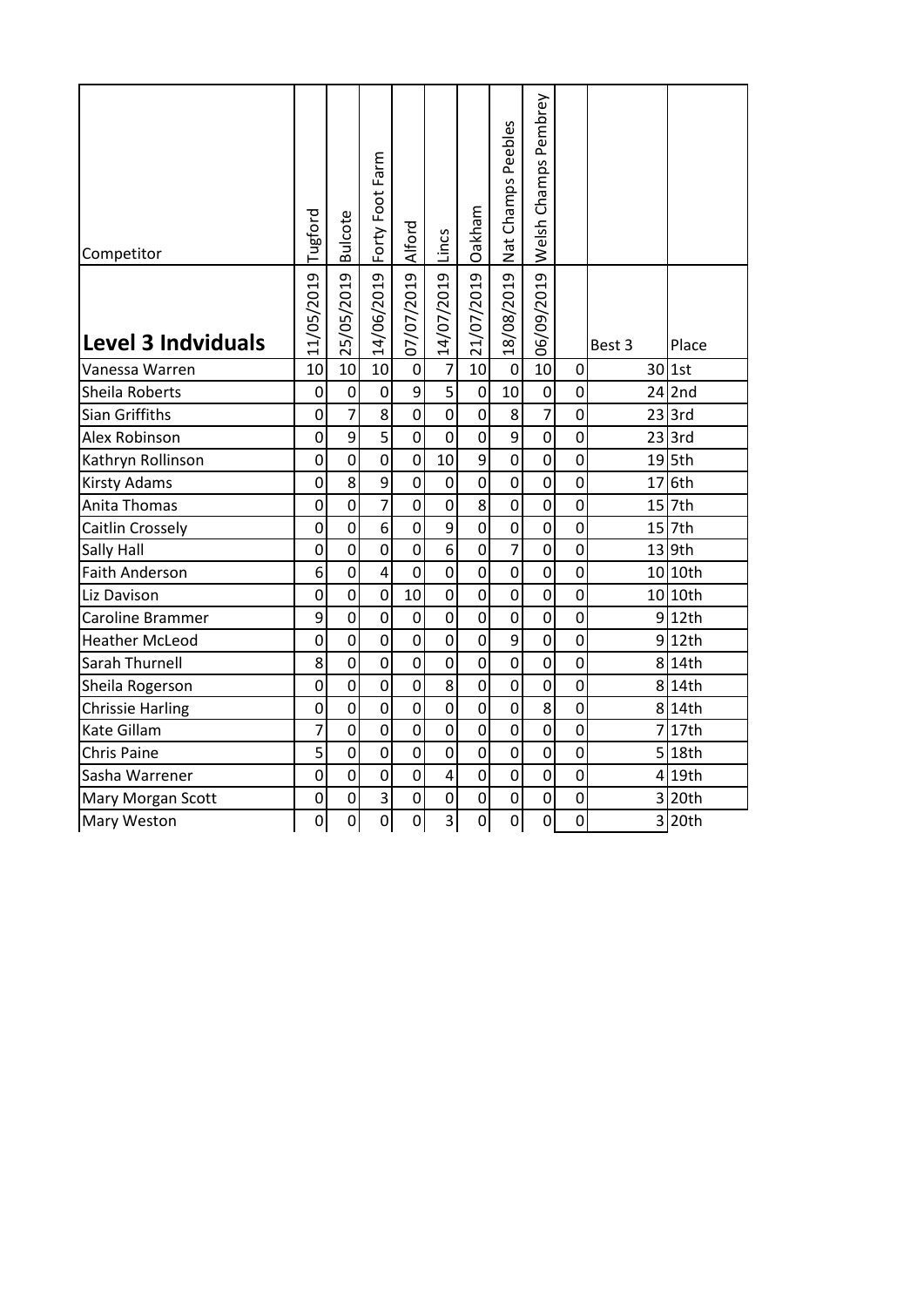| Competitor                | Tugford        | <b>Bulcote</b> | Forty Foot Farm                      | Alford         | Lincs          | Oakham         | Nat Champs Peebles | Welsh Champs Pembrey |                |        |           |
|---------------------------|----------------|----------------|--------------------------------------|----------------|----------------|----------------|--------------------|----------------------|----------------|--------|-----------|
| <b>Level 3 Indviduals</b> | 11/05/2019     | 25/05/2019     | 14/06/2019                           | 07/07/2019     | 14/07/2019     | 21/07/2019     | 18/08/2019         | 06/09/2019           |                | Best 3 | Place     |
| Vanessa Warren            | 10             | 10             | 10                                   | $\pmb{0}$      | $\overline{7}$ | 10             | $\mathbf 0$        | 10                   | 0              |        | 30 1st    |
| Sheila Roberts            | $\mathsf 0$    | $\mathbf 0$    | $\mathbf 0$                          | 9              | $\overline{5}$ | $\pmb{0}$      | 10                 | $\mathbf 0$          | 0              |        | $24$  2nd |
| Sian Griffiths            | 0              | $\overline{7}$ | 8                                    | $\mathbf 0$    | $\mathbf 0$    | $\mathbf 0$    | 8                  | $\overline{7}$       | 0              |        | $23$ 3rd  |
| Alex Robinson             | 0              | 9              | $\overline{5}$                       | $\mathbf 0$    | $\mathbf 0$    | $\overline{0}$ | $\overline{9}$     | $\overline{0}$       | $\overline{0}$ |        | $23$ 3rd  |
| Kathryn Rollinson         | 0              | $\mathbf 0$    | $\overline{0}$                       | $\mathbf 0$    | 10             | 9              | $\mathbf 0$        | $\mathbf 0$          | $\overline{0}$ |        | $19$ 5th  |
| <b>Kirsty Adams</b>       | 0              | 8              | 9                                    | $\overline{0}$ | $\mathbf 0$    | 0              | $\mathbf 0$        | $\mathbf 0$          | 0              | 17     | 6th       |
| Anita Thomas              | $\mathbf 0$    | $\mathbf 0$    | $\overline{7}$                       | $\mathsf 0$    | $\mathsf 0$    | 8              | $\overline{0}$     | $\mathbf 0$          | 0              |        | $15$ 7th  |
| Caitlin Crossely          | 0              | $\mathbf 0$    | 6                                    | 0              | 9              | 0              | $\mathbf 0$        | $\mathbf 0$          | $\overline{0}$ |        | 15 7th    |
| <b>Sally Hall</b>         | 0              | $\mathbf 0$    | $\overline{0}$                       | 0              | 6              | $\mathbf 0$    | $\overline{7}$     | $\mathbf 0$          | 0              |        | $13$ 9th  |
| <b>Faith Anderson</b>     | 6              | $\overline{0}$ | 4                                    | $\mathbf 0$    | $\mathbf 0$    | $\mathbf 0$    | $\mathbf 0$        | $\mathbf 0$          | $\mathbf 0$    |        | 10 10th   |
| Liz Davison               | 0              | $\overline{0}$ | $\overline{0}$                       | 10             | $\mathbf 0$    | $\overline{0}$ | $\overline{0}$     | $\overline{0}$       | 0              |        | 10 10th   |
| Caroline Brammer          | 9              | $\overline{0}$ | $\overline{0}$                       | $\mathbf 0$    | $\mathbf 0$    | $\overline{0}$ | $\overline{0}$     | $\overline{0}$       | $\overline{0}$ |        | $9$ 12th  |
| <b>Heather McLeod</b>     | 0              | $\mathsf 0$    | $\overline{0}$                       | 0              | $\overline{0}$ | 0              | 9                  | $\mathbf 0$          | $\overline{0}$ |        | $9$ 12th  |
| Sarah Thurnell            | 8              | $\mathbf 0$    | 0                                    | $\overline{0}$ | 0              | 0              | $\overline{0}$     | $\mathbf 0$          | 0              |        | 8 14th    |
| Sheila Rogerson           | 0              | $\mathbf 0$    | $\overline{0}$                       | $\mathbf 0$    | 8              | $\mathbf 0$    | $\overline{0}$     | $\mathbf 0$          | 0              |        | 8 14th    |
| <b>Chrissie Harling</b>   | 0              | $\mathbf 0$    | 0                                    | 0              | $\mathsf 0$    | 0              | $\mathbf 0$        | 8                    | $\overline{0}$ |        | 8 14th    |
| Kate Gillam               | $\overline{7}$ | $\mathbf 0$    | $\overline{0}$                       | $\mathbf 0$    | $\mathbf 0$    | 0              | 0                  | $\mathbf 0$          | 0              |        | 7 17th    |
| <b>Chris Paine</b>        | 5              | $\mathbf 0$    | $\mathbf 0$                          | $\mathbf 0$    | $\mathbf 0$    | $\mathbf 0$    | $\mathbf 0$        | $\mathbf 0$          | 0              |        | 5 18th    |
| Sasha Warrener            | 0              | $\mathbf 0$    | 0                                    | 0              | 4              | $\mathbf 0$    | $\mathbf 0$        | $\mathbf 0$          | 0              |        | 4 19th    |
| Mary Morgan Scott         | 0              | $\mathbf 0$    | $\overline{\overline{\overline{3}}}$ | 0              | 0              | 0              | 0                  | $\mathbf 0$          | 0              |        | 3 20th    |
| <b>Mary Weston</b>        | 0              | $\mathbf 0$    | $\overline{0}$                       | $\overline{0}$ | $\overline{3}$ | 0              | 0                  | $\overline{0}$       | 0              |        | 3 20th    |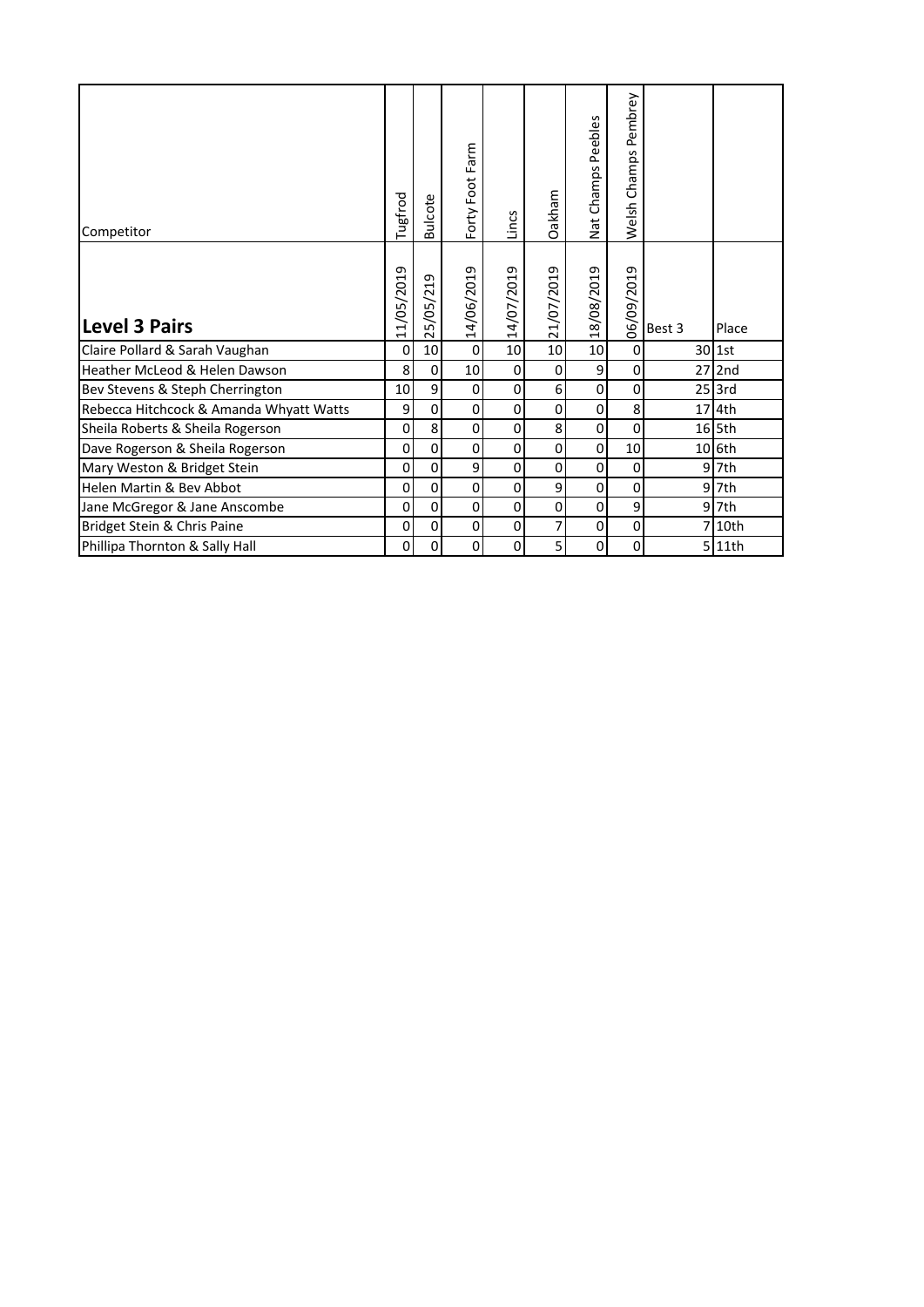| Competitor                              | Tugfrod                               | <b>Bulcote</b>     | Forty Foot Farm | Lincs       | Oakham         | Peebles<br>Champs<br>Nat | Pembrey<br>Welsh Champs |        |          |
|-----------------------------------------|---------------------------------------|--------------------|-----------------|-------------|----------------|--------------------------|-------------------------|--------|----------|
| <b>Level 3 Pairs</b>                    | 1/05/2019<br>$\overline{\phantom{0}}$ | 5/05/219<br>$\sim$ | 14/06/2019      | 14/07/2019  | 21/07/2019     | 8/08/2019<br>$\ddot{ }$  | 06/09/2019              | Best 3 | Place    |
| Claire Pollard & Sarah Vaughan          | 0                                     | 10                 | $\mathsf 0$     | 10          | 10             | 10                       | 0                       |        | 30 1st   |
| Heather McLeod & Helen Dawson           | 8                                     | $\mathbf 0$        | 10              | $\mathbf 0$ | 0              | 9                        | $\mathbf 0$             |        | $27$ 2nd |
| Bev Stevens & Steph Cherrington         | 10                                    | 9                  | $\mathbf 0$     | 0           | 6              | 0                        | $\mathbf 0$             |        | $25$ 3rd |
| Rebecca Hitchcock & Amanda Whyatt Watts | 9                                     | $\Omega$           | 0               | 0           | 0              | 0                        | 8                       |        | 17 4th   |
| Sheila Roberts & Sheila Rogerson        | 0                                     | 8                  | $\mathsf 0$     | 0           | 8              | 0                        | $\mathbf 0$             |        | $16$ 5th |
| Dave Rogerson & Sheila Rogerson         | 0                                     | $\Omega$           | $\mathsf 0$     | 0           | 0              | $\mathbf 0$              | 10                      |        | 10 6th   |
| Mary Weston & Bridget Stein             | 0                                     | $\pmb{0}$          | 9               | 0           | $\mathbf 0$    | $\mathbf 0$              | $\pmb{0}$               |        | 9 7th    |
| Helen Martin & Bev Abbot                | 0                                     | 0                  | $\pmb{0}$       | 0           | 9              | 0                        | $\pmb{0}$               |        | $9$ 7th  |
| Jane McGregor & Jane Anscombe           | $\Omega$                              | $\Omega$           | $\mathbf 0$     | $\Omega$    | $\Omega$       | $\Omega$                 | 9                       |        | 9 7th    |
| Bridget Stein & Chris Paine             | $\overline{0}$                        | 0                  | $\pmb{0}$       | 0           | $\overline{7}$ | $\Omega$                 | $\mathbf 0$             |        | 7 10th   |
| Phillipa Thornton & Sally Hall          | 0                                     | 0                  | 0               | 0           | 5              | 0                        | $\mathbf 0$             |        | 5 11th   |